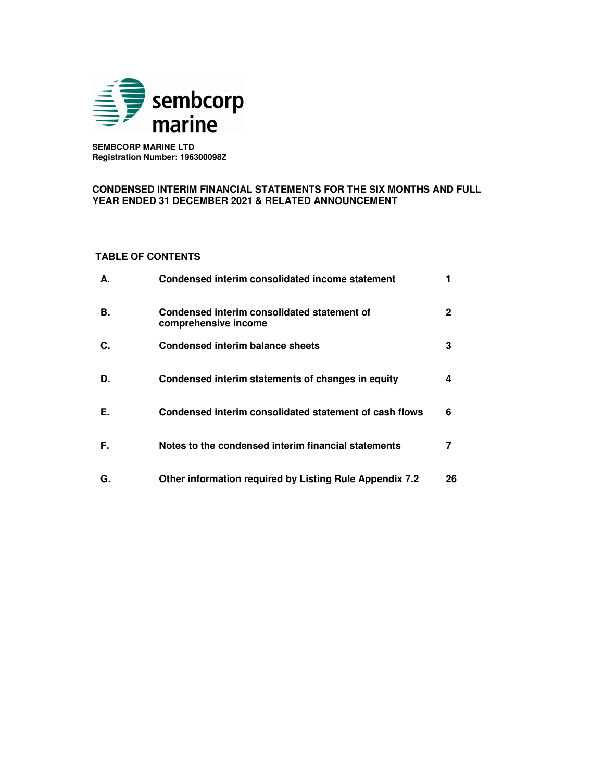

 **SEMBCORP MARINE LTD Registration Number: 196300098Z** 

## **CONDENSED INTERIM FINANCIAL STATEMENTS FOR THE SIX MONTHS AND FULL YEAR ENDED 31 DECEMBER 2021 & RELATED ANNOUNCEMENT**

# **TABLE OF CONTENTS**

| А. | Condensed interim consolidated income statement                     |    |
|----|---------------------------------------------------------------------|----|
| В. | Condensed interim consolidated statement of<br>comprehensive income | 2  |
| C. | Condensed interim balance sheets                                    | 3  |
| D. | Condensed interim statements of changes in equity                   | 4  |
| Е. | Condensed interim consolidated statement of cash flows              | 6  |
| F. | Notes to the condensed interim financial statements                 |    |
| G. | Other information required by Listing Rule Appendix 7.2             | 26 |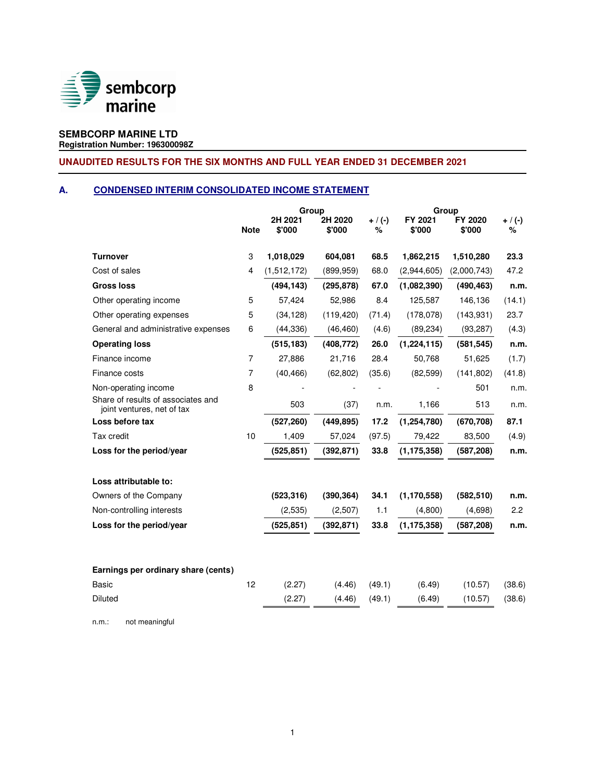

# **SEMBCORP MARINE LTD**

**Registration Number: 196300098Z**

# **UNAUDITED RESULTS FOR THE SIX MONTHS AND FULL YEAR ENDED 31 DECEMBER 2021**

# **A. CONDENSED INTERIM CONSOLIDATED INCOME STATEMENT**

|                                                                  | Group          |                   |                   | Group          |                   |                   |                  |
|------------------------------------------------------------------|----------------|-------------------|-------------------|----------------|-------------------|-------------------|------------------|
|                                                                  | <b>Note</b>    | 2H 2021<br>\$'000 | 2H 2020<br>\$'000 | $+ / (-)$<br>% | FY 2021<br>\$'000 | FY 2020<br>\$'000 | $+ / (-)$<br>%   |
| <b>Turnover</b>                                                  | 3              | 1,018,029         | 604,081           | 68.5           | 1,862,215         | 1,510,280         | 23.3             |
| Cost of sales                                                    | 4              | (1,512,172)       | (899, 959)        | 68.0           | (2,944,605)       | (2,000,743)       | 47.2             |
| <b>Gross loss</b>                                                |                | (494, 143)        | (295, 878)        | 67.0           | (1,082,390)       | (490, 463)        | n.m.             |
| Other operating income                                           | 5              | 57,424            | 52,986            | 8.4            | 125,587           | 146,136           | (14.1)           |
| Other operating expenses                                         | 5              | (34, 128)         | (119, 420)        | (71.4)         | (178,078)         | (143, 931)        | 23.7             |
| General and administrative expenses                              | 6              | (44, 336)         | (46, 460)         | (4.6)          | (89, 234)         | (93, 287)         | (4.3)            |
| <b>Operating loss</b>                                            |                | (515, 183)        | (408, 772)        | 26.0           | (1, 224, 115)     | (581, 545)        | n.m.             |
| Finance income                                                   | $\overline{7}$ | 27,886            | 21,716            | 28.4           | 50,768            | 51,625            | (1.7)            |
| Finance costs                                                    | $\overline{7}$ | (40, 466)         | (62, 802)         | (35.6)         | (82, 599)         | (141, 802)        | (41.8)           |
| Non-operating income                                             | 8              |                   |                   |                |                   | 501               | n.m.             |
| Share of results of associates and<br>joint ventures, net of tax |                | 503               | (37)              | n.m.           | 1,166             | 513               | n.m.             |
| Loss before tax                                                  |                | (527, 260)        | (449, 895)        | 17.2           | (1, 254, 780)     | (670, 708)        | 87.1             |
| Tax credit                                                       | 10             | 1,409             | 57,024            | (97.5)         | 79,422            | 83,500            | (4.9)            |
| Loss for the period/year                                         |                | (525, 851)        | (392, 871)        | 33.8           | (1, 175, 358)     | (587, 208)        | n.m.             |
| Loss attributable to:                                            |                |                   |                   |                |                   |                   |                  |
| Owners of the Company                                            |                | (523, 316)        | (390, 364)        | 34.1           | (1, 170, 558)     | (582, 510)        | n.m.             |
| Non-controlling interests                                        |                | (2,535)           | (2,507)           | 1.1            | (4,800)           | (4,698)           | $2.2\phantom{0}$ |
| Loss for the period/year                                         |                | (525, 851)        | (392, 871)        | 33.8           | (1, 175, 358)     | (587, 208)        | n.m.             |
| Earnings per ordinary share (cents)                              |                |                   |                   |                |                   |                   |                  |
| Basic                                                            | 12             | (2.27)            | (4.46)            | (49.1)         | (6.49)            | (10.57)           | (38.6)           |
| Diluted                                                          |                | (2.27)            | (4.46)            | (49.1)         | (6.49)            | (10.57)           | (38.6)           |

n.m.: not meaningful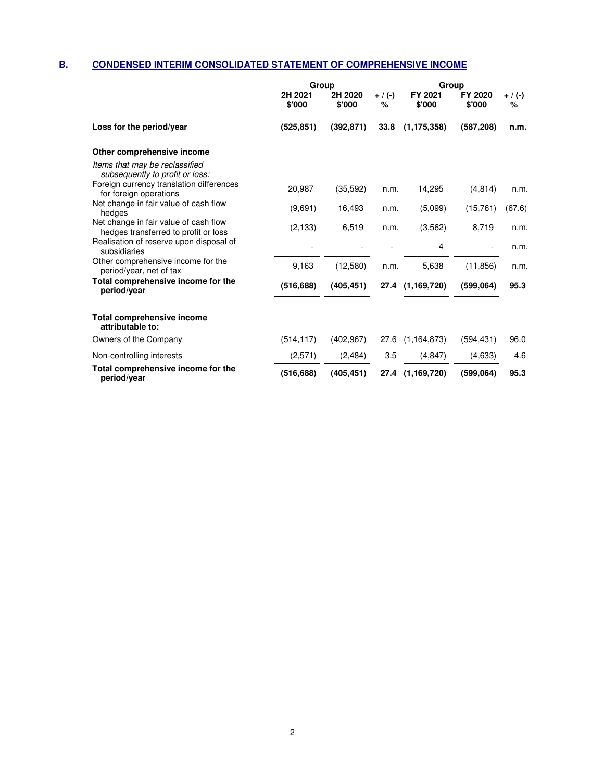# **B. CONDENSED INTERIM CONSOLIDATED STATEMENT OF COMPREHENSIVE INCOME**

|                                                                                                               | Group             |                   |                | Group             |                   |                |  |
|---------------------------------------------------------------------------------------------------------------|-------------------|-------------------|----------------|-------------------|-------------------|----------------|--|
|                                                                                                               | 2H 2021<br>\$'000 | 2H 2020<br>\$'000 | $+$ / (-)<br>% | FY 2021<br>\$'000 | FY 2020<br>\$'000 | $+ / (-)$<br>% |  |
| Loss for the period/year                                                                                      | (525, 851)        | (392, 871)        | 33.8           | (1, 175, 358)     | (587, 208)        | n.m.           |  |
| Other comprehensive income                                                                                    |                   |                   |                |                   |                   |                |  |
| Items that may be reclassified<br>subsequently to profit or loss:<br>Foreign currency translation differences |                   |                   |                |                   |                   |                |  |
| for foreign operations                                                                                        | 20,987            | (35,592)          | n.m.           | 14,295            | (4,814)           | n.m.           |  |
| Net change in fair value of cash flow<br>hedges                                                               | (9,691)           | 16,493            | n.m.           | (5.099)           | (15,761)          | (67.6)         |  |
| Net change in fair value of cash flow<br>hedges transferred to profit or loss                                 | (2, 133)          | 6,519             | n.m.           | (3, 562)          | 8,719             | n.m.           |  |
| Realisation of reserve upon disposal of<br>subsidiaries                                                       |                   |                   |                | 4                 |                   | n.m.           |  |
| Other comprehensive income for the<br>period/year, net of tax                                                 | 9,163             | (12,580)          | n.m.           | 5,638             | (11, 856)         | n.m.           |  |
| Total comprehensive income for the<br>period/year                                                             | (516, 688)        | (405, 451)        |                | 27.4 (1,169,720)  | (599,064)         | 95.3           |  |
| Total comprehensive income<br>attributable to:                                                                |                   |                   |                |                   |                   |                |  |
| Owners of the Company                                                                                         | (514, 117)        | (402, 967)        | 27.6           | (1, 164, 873)     | (594, 431)        | 96.0           |  |
| Non-controlling interests                                                                                     | (2,571)           | (2,484)           | 3.5            | (4, 847)          | (4,633)           | 4.6            |  |
| Total comprehensive income for the<br>period/year                                                             | (516, 688)        | (405, 451)        | 27.4           | (1, 169, 720)     | (599,064)         | 95.3           |  |
|                                                                                                               |                   |                   |                |                   |                   |                |  |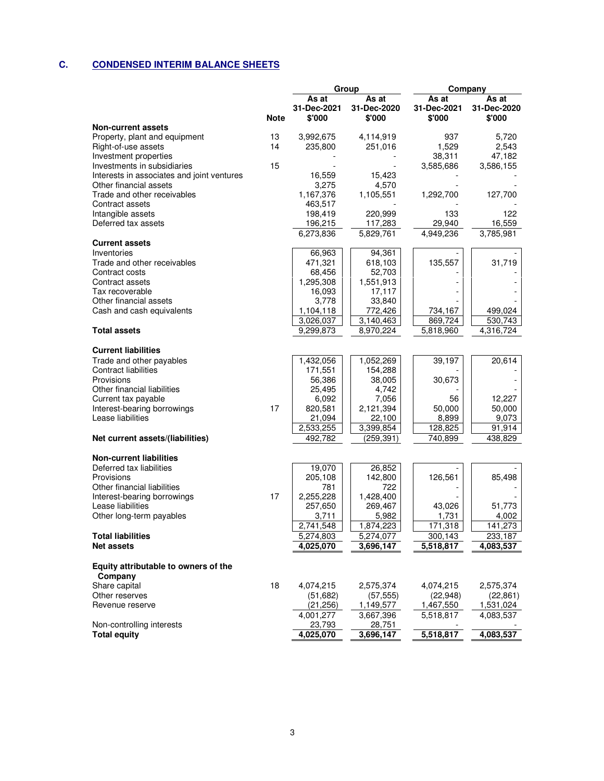# **C. CONDENSED INTERIM BALANCE SHEETS**

|                                                         |             |                                | Group                          | Company                        |                                |  |
|---------------------------------------------------------|-------------|--------------------------------|--------------------------------|--------------------------------|--------------------------------|--|
|                                                         | <b>Note</b> | As at<br>31-Dec-2021<br>\$'000 | As at<br>31-Dec-2020<br>\$'000 | As at<br>31-Dec-2021<br>\$'000 | As at<br>31-Dec-2020<br>\$'000 |  |
| <b>Non-current assets</b>                               |             |                                |                                |                                |                                |  |
| Property, plant and equipment                           | 13          | 3,992,675                      | 4,114,919                      | 937                            | 5,720                          |  |
| Right-of-use assets                                     | 14          | 235,800                        | 251,016                        | 1,529                          | 2,543                          |  |
| Investment properties                                   |             |                                |                                | 38,311                         | 47,182                         |  |
| Investments in subsidiaries                             | 15          |                                |                                | 3,585,686                      | 3,586,155                      |  |
| Interests in associates and joint ventures              |             | 16,559                         | 15,423                         |                                |                                |  |
| Other financial assets                                  |             | 3,275                          | 4,570                          |                                |                                |  |
| Trade and other receivables                             |             | 1,167,376                      | 1,105,551                      | 1,292,700                      | 127,700                        |  |
| Contract assets                                         |             | 463,517                        |                                |                                |                                |  |
| Intangible assets                                       |             | 198,419                        | 220,999                        | 133                            | 122                            |  |
| Deferred tax assets                                     |             | 196,215                        | 117,283                        | 29,940                         | 16,559                         |  |
|                                                         |             | 6,273,836                      | 5,829,761                      | 4,949,236                      | 3,785,981                      |  |
| <b>Current assets</b>                                   |             |                                |                                |                                |                                |  |
| Inventories                                             |             | 66,963                         | 94,361                         |                                |                                |  |
| Trade and other receivables                             |             | 471,321                        | 618,103                        | 135,557                        | 31,719                         |  |
| Contract costs                                          |             | 68,456                         | 52,703                         |                                |                                |  |
| Contract assets                                         |             | 1,295,308                      | 1,551,913                      |                                |                                |  |
| Tax recoverable                                         |             | 16,093                         | 17,117                         |                                |                                |  |
| Other financial assets                                  |             | 3,778                          | 33,840                         |                                |                                |  |
| Cash and cash equivalents                               |             | 1,104,118                      | 772,426                        | 734,167                        | 499,024                        |  |
|                                                         |             | 3,026,037                      | 3,140,463                      | 869,724                        | 530,743                        |  |
| <b>Total assets</b>                                     |             | 9,299,873                      | 8,970,224                      | 5,818,960                      | 4,316,724                      |  |
|                                                         |             |                                |                                |                                |                                |  |
| <b>Current liabilities</b>                              |             |                                |                                |                                |                                |  |
| Trade and other payables<br><b>Contract liabilities</b> |             | 1,432,056                      | 1,052,269<br>154,288           | 39,197                         | 20,614                         |  |
| Provisions                                              |             | 171,551<br>56,386              | 38,005                         | 30,673                         |                                |  |
| Other financial liabilities                             |             | 25,495                         | 4,742                          |                                |                                |  |
| Current tax payable                                     |             | 6,092                          | 7,056                          | 56                             | 12,227                         |  |
| Interest-bearing borrowings                             | 17          | 820,581                        | 2,121,394                      | 50,000                         | 50,000                         |  |
| Lease liabilities                                       |             | 21,094                         | 22,100                         | 8,899                          | 9,073                          |  |
|                                                         |             | 2,533,255                      | 3,399,854                      | 128,825                        | 91,914                         |  |
| Net current assets/(liabilities)                        |             | 492,782                        | (259, 391)                     | 740,899                        | 438,829                        |  |
|                                                         |             |                                |                                |                                |                                |  |
| <b>Non-current liabilities</b>                          |             |                                |                                |                                |                                |  |
| Deferred tax liabilities                                |             | 19,070                         | 26,852                         |                                |                                |  |
| Provisions                                              |             | 205,108                        | 142,800                        | 126,561                        | 85,498                         |  |
| Other financial liabilities                             |             | 781                            | 722                            |                                |                                |  |
| Interest-bearing borrowings                             | 17          | 2,255,228                      | 1,428,400                      |                                |                                |  |
| Lease liabilities                                       |             | 257,650                        | 269,467                        | 43,026                         | 51,773                         |  |
| Other long-term payables                                |             | 3,711                          | 5,982                          | 1,731                          | 4,002                          |  |
|                                                         |             | 2,741,548                      | 1,874,223                      | 171,318                        | 141.273                        |  |
| <b>Total liabilities</b>                                |             | 5,274,803                      | 5,274,077                      | 300,143                        | 233,187                        |  |
| <b>Net assets</b>                                       |             | 4,025,070                      | 3,696,147                      | 5,518,817                      | 4,083,537                      |  |
|                                                         |             |                                |                                |                                |                                |  |
| Equity attributable to owners of the                    |             |                                |                                |                                |                                |  |
| Company                                                 | 18          | 4,074,215                      |                                |                                |                                |  |
| Share capital<br>Other reserves                         |             |                                | 2,575,374                      | 4,074,215<br>(22, 948)         | 2,575,374                      |  |
| Revenue reserve                                         |             | (51,682)<br>(21, 256)          | (57, 555)<br>1,149,577         |                                | (22, 861)                      |  |
|                                                         |             | 4,001,277                      | 3,667,396                      | 1,467,550<br>5,518,817         | 1,531,024<br>4,083,537         |  |
| Non-controlling interests                               |             | 23,793                         | 28,751                         |                                |                                |  |
| <b>Total equity</b>                                     |             | 4,025,070                      | 3,696,147                      | 5,518,817                      | 4,083,537                      |  |
|                                                         |             |                                |                                |                                |                                |  |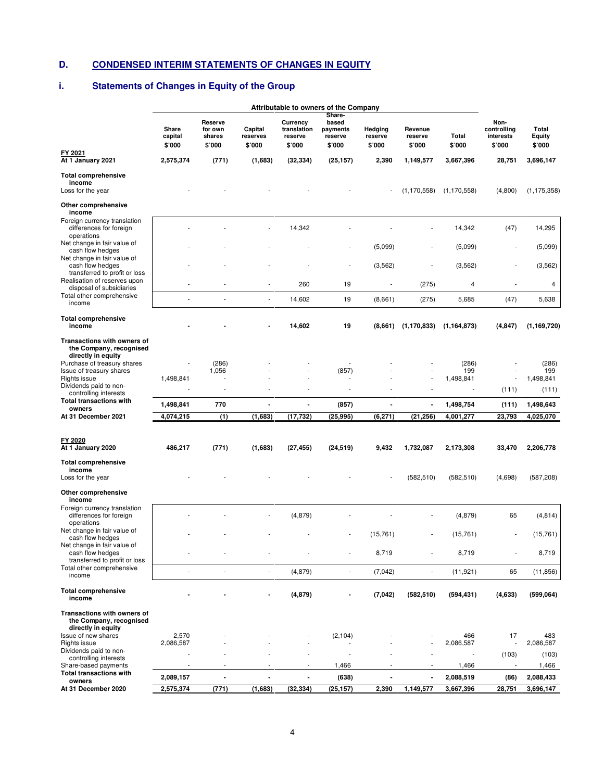# **D. CONDENSED INTERIM STATEMENTS OF CHANGES IN EQUITY**

# **i. Statements of Changes in Equity of the Group**

|                                                                                  | Attributable to owners of the Company |                                        |                               |                                              |                                                  |                              |                              |                  |                                            |                           |
|----------------------------------------------------------------------------------|---------------------------------------|----------------------------------------|-------------------------------|----------------------------------------------|--------------------------------------------------|------------------------------|------------------------------|------------------|--------------------------------------------|---------------------------|
|                                                                                  | Share<br>capital<br>\$'000            | Reserve<br>for own<br>shares<br>\$'000 | Capital<br>reserves<br>\$'000 | Currency<br>translation<br>reserve<br>\$'000 | Share-<br>based<br>payments<br>reserve<br>\$'000 | Hedging<br>reserve<br>\$'000 | Revenue<br>reserve<br>\$'000 | Total<br>\$'000  | Non-<br>controlling<br>interests<br>\$'000 | Total<br>Equity<br>\$'000 |
| FY 2021<br>At 1 January 2021                                                     | 2,575,374                             | (771)                                  | (1,683)                       | (32, 334)                                    | (25, 157)                                        | 2,390                        | 1,149,577                    | 3,667,396        | 28,751                                     | 3,696,147                 |
| <b>Total comprehensive</b><br>income<br>Loss for the year                        |                                       |                                        |                               |                                              |                                                  |                              | (1, 170, 558)                | (1, 170, 558)    | (4,800)                                    | (1, 175, 358)             |
| Other comprehensive<br>income                                                    |                                       |                                        |                               |                                              |                                                  |                              |                              |                  |                                            |                           |
| Foreign currency translation<br>differences for foreign<br>operations            |                                       |                                        |                               | 14,342                                       |                                                  |                              |                              | 14,342           | (47)                                       | 14,295                    |
| Net change in fair value of<br>cash flow hedges                                  |                                       |                                        |                               |                                              |                                                  | (5,099)                      |                              | (5,099)          |                                            | (5,099)                   |
| Net change in fair value of<br>cash flow hedges<br>transferred to profit or loss |                                       |                                        |                               |                                              |                                                  | (3, 562)                     |                              | (3, 562)         | $\overline{\phantom{a}}$                   | (3, 562)                  |
| Realisation of reserves upon<br>disposal of subsidiaries                         |                                       |                                        | $\overline{\phantom{a}}$      | 260                                          | 19                                               | L,                           | (275)                        | 4                |                                            | 4                         |
| Total other comprehensive<br>income                                              |                                       |                                        | $\overline{\phantom{a}}$      | 14,602                                       | 19                                               | (8,661)                      | (275)                        | 5,685            | (47)                                       | 5,638                     |
| <b>Total comprehensive</b><br>income                                             |                                       |                                        |                               | 14,602                                       | 19                                               | (8,661)                      | (1, 170, 833)                | (1, 164, 873)    | (4, 847)                                   | (1, 169, 720)             |
| Transactions with owners of<br>the Company, recognised<br>directly in equity     |                                       |                                        |                               |                                              |                                                  |                              |                              |                  |                                            |                           |
| Purchase of treasury shares<br>Issue of treasury shares                          |                                       | (286)<br>1,056                         |                               |                                              | (857)                                            |                              |                              | (286)<br>199     |                                            | (286)<br>199              |
| Rights issue<br>Dividends paid to non-                                           | 1,498,841                             |                                        |                               |                                              |                                                  |                              |                              | 1,498,841        |                                            | 1,498,841                 |
| controlling interests                                                            |                                       |                                        |                               |                                              |                                                  |                              |                              |                  | (111)                                      | (111)                     |
| <b>Total transactions with</b><br>owners                                         | 1,498,841                             | 770                                    |                               |                                              | (857)                                            |                              |                              | 1,498,754        | (111)                                      | 1,498,643                 |
| At 31 December 2021                                                              | 4,074,215                             | (1)                                    | (1,683)                       | (17,732)                                     | (25, 995)                                        | (6, 271)                     | (21, 256)                    | 4,001,277        | 23,793                                     | 4,025,070                 |
| FY 2020<br>At 1 January 2020                                                     | 486,217                               | (771)                                  | (1,683)                       | (27, 455)                                    | (24, 519)                                        | 9,432                        | 1,732,087                    | 2,173,308        | 33,470                                     | 2,206,778                 |
| <b>Total comprehensive</b><br>income                                             |                                       |                                        |                               |                                              |                                                  |                              |                              |                  |                                            |                           |
| Loss for the year                                                                |                                       |                                        |                               |                                              |                                                  |                              | (582, 510)                   | (582, 510)       | (4,698)                                    | (587, 208)                |
| Other comprehensive<br>income                                                    |                                       |                                        |                               |                                              |                                                  |                              |                              |                  |                                            |                           |
| Foreign currency translation<br>differences for foreign<br>operations            |                                       |                                        |                               | (4, 879)                                     |                                                  |                              |                              | (4, 879)         | 65                                         | (4, 814)                  |
| Net change in fair value of<br>cash flow hedges                                  |                                       |                                        |                               |                                              |                                                  | (15, 761)                    |                              | (15,761)         |                                            | (15,761)                  |
| Net change in fair value of<br>cash flow hedges<br>transferred to profit or loss |                                       |                                        |                               |                                              |                                                  | 8,719                        |                              | 8,719            |                                            | 8,719                     |
| Total other comprehensive<br>income                                              | $\overline{a}$                        | $\overline{a}$                         | $\overline{\phantom{a}}$      | (4, 879)                                     | $\overline{\phantom{a}}$                         | (7,042)                      |                              | (11, 921)        | 65                                         | (11, 856)                 |
| <b>Total comprehensive</b><br>income                                             |                                       |                                        |                               | (4, 879)                                     |                                                  | (7,042)                      | (582, 510)                   | (594, 431)       | (4,633)                                    | (599,064)                 |
| Transactions with owners of<br>the Company, recognised<br>directly in equity     |                                       |                                        |                               |                                              |                                                  |                              |                              |                  |                                            |                           |
| Issue of new shares<br>Rights issue                                              | 2,570<br>2,086,587                    |                                        |                               |                                              | (2, 104)                                         |                              |                              | 466<br>2,086,587 | 17                                         | 483<br>2,086,587          |
| Dividends paid to non-                                                           |                                       |                                        |                               |                                              |                                                  |                              |                              |                  | (103)                                      | (103)                     |
| controlling interests<br>Share-based payments                                    |                                       |                                        |                               |                                              | 1,466                                            |                              |                              | 1,466            |                                            | 1,466                     |
| <b>Total transactions with</b><br>owners                                         | 2,089,157                             |                                        |                               |                                              | (638)                                            |                              |                              | 2,088,519        | (86)                                       | 2,088,433                 |
| At 31 December 2020                                                              | 2,575,374                             | (771)                                  | (1,683)                       | (32, 334)                                    | (25, 157)                                        | 2,390                        | 1,149,577                    | 3,667,396        | 28,751                                     | 3,696,147                 |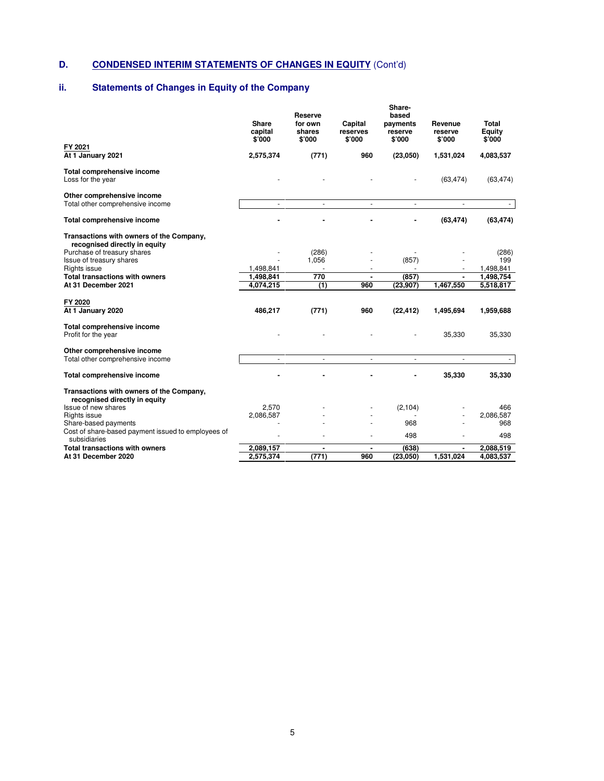# **D. CONDENSED INTERIM STATEMENTS OF CHANGES IN EQUITY** (Cont'd)

# **ii. Statements of Changes in Equity of the Company**

| FY 2021                                                                                                                                              | <b>Share</b><br>capital<br>\$'000 | <b>Reserve</b><br>for own<br>shares<br>\$'000 | Capital<br>reserves<br>\$'000 | Share-<br>based<br>payments<br>reserve<br>\$'000 | Revenue<br>reserve<br>\$'000 | Total<br><b>Equity</b><br>\$'000 |
|------------------------------------------------------------------------------------------------------------------------------------------------------|-----------------------------------|-----------------------------------------------|-------------------------------|--------------------------------------------------|------------------------------|----------------------------------|
| At 1 January 2021                                                                                                                                    | 2,575,374                         | (771)                                         | 960                           | (23,050)                                         | 1,531,024                    | 4,083,537                        |
| Total comprehensive income<br>Loss for the year                                                                                                      |                                   |                                               |                               |                                                  | (63, 474)                    | (63, 474)                        |
| Other comprehensive income<br>Total other comprehensive income                                                                                       | $\blacksquare$                    | $\blacksquare$                                | $\blacksquare$                | $\blacksquare$                                   | $\blacksquare$               |                                  |
| <b>Total comprehensive income</b>                                                                                                                    |                                   |                                               |                               |                                                  | (63, 474)                    | (63, 474)                        |
| Transactions with owners of the Company,<br>recognised directly in equity<br>Purchase of treasury shares<br>Issue of treasury shares<br>Rights issue | 1,498,841                         | (286)<br>1,056                                |                               | (857)                                            |                              | (286)<br>199<br>1,498,841        |
| <b>Total transactions with owners</b><br>At 31 December 2021                                                                                         | 1,498,841<br>4,074,215            | 770<br>(1)                                    | $\blacksquare$<br>960         | (857)<br>(23, 907)                               | $\blacksquare$<br>1,467,550  | 1,498,754<br>5,518,817           |
| FY 2020<br>At 1 January 2020                                                                                                                         | 486.217                           | (771)                                         | 960                           | (22.412)                                         | 1,495,694                    | 1,959,688                        |
| <b>Total comprehensive income</b><br>Profit for the year                                                                                             |                                   |                                               |                               |                                                  | 35,330                       | 35,330                           |
| Other comprehensive income<br>Total other comprehensive income                                                                                       | ÷.                                | $\omega$                                      | ÷.                            | $\blacksquare$                                   | $\overline{\phantom{a}}$     | $\sim$                           |
| <b>Total comprehensive income</b>                                                                                                                    |                                   |                                               |                               |                                                  | 35,330                       | 35,330                           |
| Transactions with owners of the Company,<br>recognised directly in equity                                                                            |                                   |                                               |                               |                                                  |                              |                                  |
| Issue of new shares                                                                                                                                  | 2.570                             |                                               |                               | (2, 104)                                         |                              | 466                              |
| Rights issue<br>Share-based payments                                                                                                                 | 2,086,587                         |                                               |                               |                                                  |                              | 2,086,587                        |
| Cost of share-based payment issued to employees of<br>subsidiaries                                                                                   |                                   |                                               |                               | 968<br>498                                       |                              | 968<br>498                       |
| <b>Total transactions with owners</b>                                                                                                                | 2,089,157                         |                                               |                               | (638)                                            |                              | 2,088,519                        |
| At 31 December 2020                                                                                                                                  | 2,575,374                         | (771)                                         | 960                           | (23,050)                                         | 1,531,024                    | 4,083,537                        |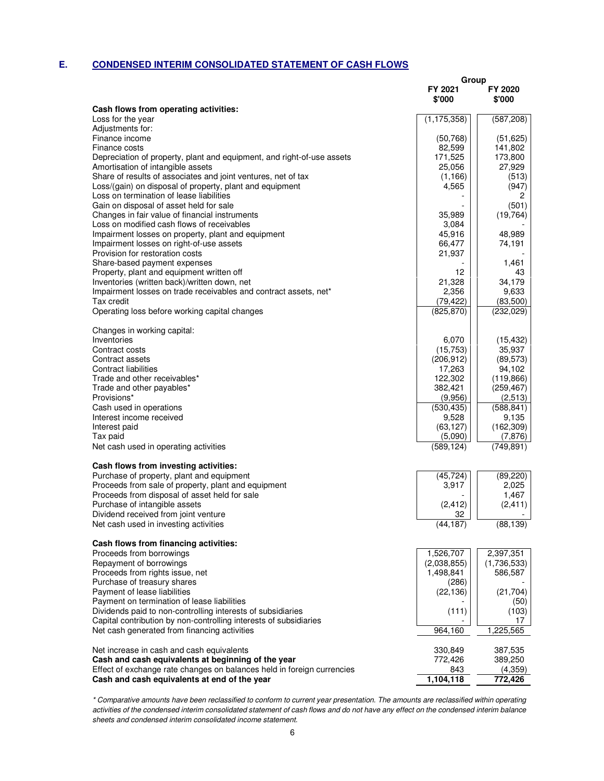# **E. CONDENSED INTERIM CONSOLIDATED STATEMENT OF CASH FLOWS**

|                                                                               | Group                    |                       |
|-------------------------------------------------------------------------------|--------------------------|-----------------------|
|                                                                               | FY 2021<br>\$'000        | FY 2020<br>\$'000     |
| Cash flows from operating activities:                                         |                          |                       |
| Loss for the year<br>Adjustments for:                                         | (1, 175, 358)            | (587, 208)            |
| Finance income                                                                | (50, 768)                | (51, 625)             |
| Finance costs                                                                 | 82,599                   | 141,802               |
| Depreciation of property, plant and equipment, and right-of-use assets        | 171,525                  | 173,800               |
| Amortisation of intangible assets                                             | 25,056                   | 27,929                |
| Share of results of associates and joint ventures, net of tax                 | (1, 166)                 | (513)                 |
| Loss/(gain) on disposal of property, plant and equipment                      | 4,565                    | (947)                 |
| Loss on termination of lease liabilities                                      |                          | 2                     |
| Gain on disposal of asset held for sale                                       |                          | (501)                 |
| Changes in fair value of financial instruments                                | 35,989                   | (19, 764)             |
| Loss on modified cash flows of receivables                                    | 3,084                    |                       |
| Impairment losses on property, plant and equipment                            | 45,916                   | 48,989                |
| Impairment losses on right-of-use assets<br>Provision for restoration costs   | 66,477                   | 74,191                |
| Share-based payment expenses                                                  | 21,937                   | 1,461                 |
| Property, plant and equipment written off                                     | 12                       | 43                    |
| Inventories (written back)/written down, net                                  | 21,328                   | 34,179                |
| Impairment losses on trade receivables and contract assets, net*              | 2,356                    | 9,633                 |
| Tax credit                                                                    | (79, 422)                | (83,500)              |
| Operating loss before working capital changes                                 | (825, 870)               | (232, 029)            |
| Changes in working capital:                                                   |                          |                       |
| Inventories                                                                   | 6,070                    | (15, 432)             |
| Contract costs                                                                | (15, 753)                | 35,937                |
| Contract assets                                                               | (206, 912)               | (89, 573)             |
| Contract liabilities                                                          | 17,263                   | 94,102                |
| Trade and other receivables*                                                  | 122,302                  | (119, 866)            |
| Trade and other payables*<br>Provisions*                                      | 382,421<br>(9,956)       | (259, 467)            |
| Cash used in operations                                                       | (530, 435)               | (2,513)<br>(588, 841) |
| Interest income received                                                      | 9,528                    | 9,135                 |
| Interest paid                                                                 | (63, 127)                | (162, 309)            |
| Tax paid                                                                      | (5,090)                  | (7, 876)              |
| Net cash used in operating activities                                         | (589, 124)               | (749, 891)            |
| Cash flows from investing activities:                                         |                          |                       |
| Purchase of property, plant and equipment                                     | (45, 724)                | (89, 220)             |
| Proceeds from sale of property, plant and equipment                           | 3,917                    | 2,025                 |
| Proceeds from disposal of asset held for sale                                 |                          | 1,467                 |
| Purchase of intangible assets                                                 | (2, 412)                 | (2, 411)              |
| Dividend received from joint venture<br>Net cash used in investing activities | 32<br>(44, 187)          | (88, 139)             |
|                                                                               |                          |                       |
| Cash flows from financing activities:                                         |                          |                       |
| Proceeds from borrowings                                                      | 1,526,707                | 2,397,351             |
| Repayment of borrowings                                                       | (2,038,855)<br>1,498,841 | (1,736,533)           |
| Proceeds from rights issue, net<br>Purchase of treasury shares                | (286)                    | 586,587               |
| Payment of lease liabilities                                                  | (22, 136)                | (21, 704)             |
| Payment on termination of lease liabilities                                   |                          | (50)                  |
| Dividends paid to non-controlling interests of subsidiaries                   | (111)                    | (103)                 |
| Capital contribution by non-controlling interests of subsidiaries             |                          | 17                    |
| Net cash generated from financing activities                                  | 964,160                  | 1,225,565             |
| Net increase in cash and cash equivalents                                     | 330,849                  | 387,535               |
| Cash and cash equivalents at beginning of the year                            | 772,426                  | 389,250               |
| Effect of exchange rate changes on balances held in foreign currencies        | 843                      | (4,359)               |
| Cash and cash equivalents at end of the year                                  | 1,104,118                | 772,426               |

\* Comparative amounts have been reclassified to conform to current year presentation. The amounts are reclassified within operating activities of the condensed interim consolidated statement of cash flows and do not have any effect on the condensed interim balance sheets and condensed interim consolidated income statement.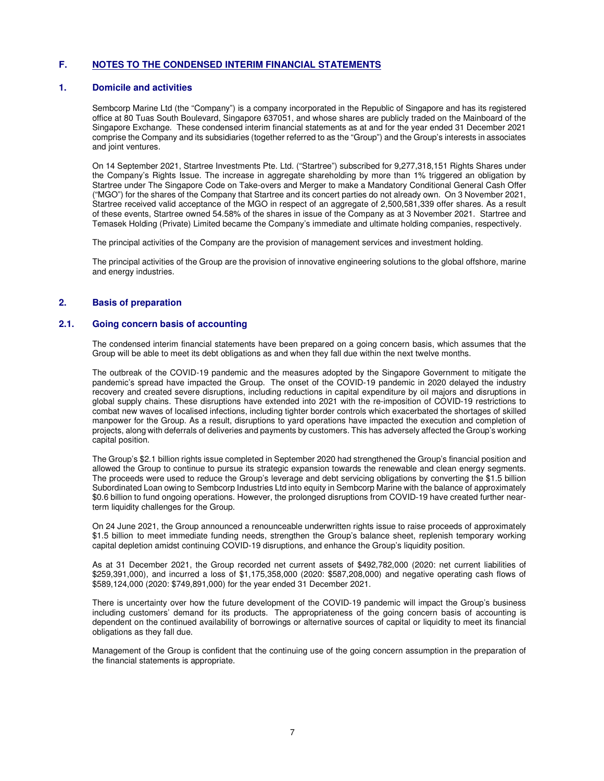#### **1. Domicile and activities**

Sembcorp Marine Ltd (the "Company") is a company incorporated in the Republic of Singapore and has its registered office at 80 Tuas South Boulevard, Singapore 637051, and whose shares are publicly traded on the Mainboard of the Singapore Exchange. These condensed interim financial statements as at and for the year ended 31 December 2021 comprise the Company and its subsidiaries (together referred to as the "Group") and the Group's interests in associates and joint ventures.

On 14 September 2021, Startree Investments Pte. Ltd. ("Startree") subscribed for 9,277,318,151 Rights Shares under the Company's Rights Issue. The increase in aggregate shareholding by more than 1% triggered an obligation by Startree under The Singapore Code on Take-overs and Merger to make a Mandatory Conditional General Cash Offer ("MGO") for the shares of the Company that Startree and its concert parties do not already own. On 3 November 2021, Startree received valid acceptance of the MGO in respect of an aggregate of 2,500,581,339 offer shares. As a result of these events, Startree owned 54.58% of the shares in issue of the Company as at 3 November 2021. Startree and Temasek Holding (Private) Limited became the Company's immediate and ultimate holding companies, respectively.

The principal activities of the Company are the provision of management services and investment holding.

The principal activities of the Group are the provision of innovative engineering solutions to the global offshore, marine and energy industries.

## **2. Basis of preparation**

### **2.1. Going concern basis of accounting**

The condensed interim financial statements have been prepared on a going concern basis, which assumes that the Group will be able to meet its debt obligations as and when they fall due within the next twelve months.

The outbreak of the COVID-19 pandemic and the measures adopted by the Singapore Government to mitigate the pandemic's spread have impacted the Group. The onset of the COVID-19 pandemic in 2020 delayed the industry recovery and created severe disruptions, including reductions in capital expenditure by oil majors and disruptions in global supply chains. These disruptions have extended into 2021 with the re-imposition of COVID-19 restrictions to combat new waves of localised infections, including tighter border controls which exacerbated the shortages of skilled manpower for the Group. As a result, disruptions to yard operations have impacted the execution and completion of projects, along with deferrals of deliveries and payments by customers. This has adversely affected the Group's working capital position.

The Group's \$2.1 billion rights issue completed in September 2020 had strengthened the Group's financial position and allowed the Group to continue to pursue its strategic expansion towards the renewable and clean energy segments. The proceeds were used to reduce the Group's leverage and debt servicing obligations by converting the \$1.5 billion Subordinated Loan owing to Sembcorp Industries Ltd into equity in Sembcorp Marine with the balance of approximately \$0.6 billion to fund ongoing operations. However, the prolonged disruptions from COVID-19 have created further nearterm liquidity challenges for the Group.

On 24 June 2021, the Group announced a renounceable underwritten rights issue to raise proceeds of approximately \$1.5 billion to meet immediate funding needs, strengthen the Group's balance sheet, replenish temporary working capital depletion amidst continuing COVID-19 disruptions, and enhance the Group's liquidity position.

As at 31 December 2021, the Group recorded net current assets of \$492,782,000 (2020: net current liabilities of \$259,391,000), and incurred a loss of \$1,175,358,000 (2020: \$587,208,000) and negative operating cash flows of \$589,124,000 (2020: \$749,891,000) for the year ended 31 December 2021.

There is uncertainty over how the future development of the COVID-19 pandemic will impact the Group's business including customers' demand for its products. The appropriateness of the going concern basis of accounting is dependent on the continued availability of borrowings or alternative sources of capital or liquidity to meet its financial obligations as they fall due.

Management of the Group is confident that the continuing use of the going concern assumption in the preparation of the financial statements is appropriate.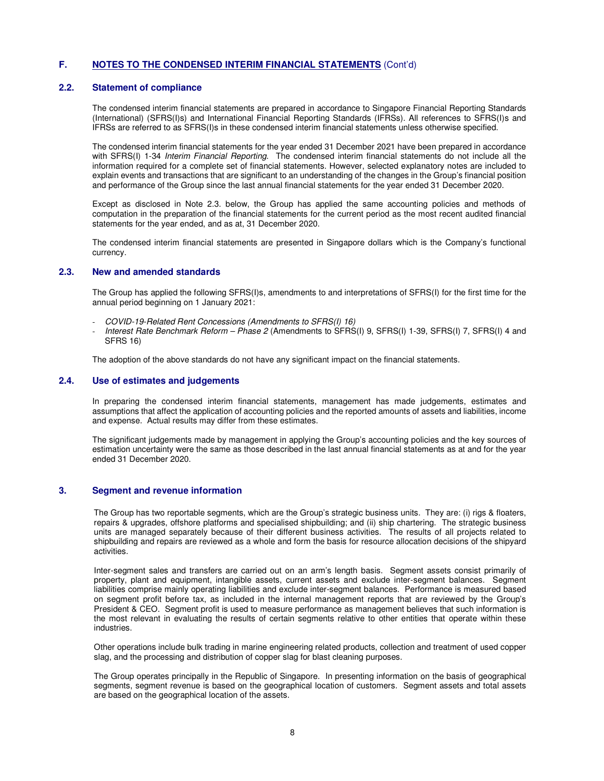#### **2.2. Statement of compliance**

The condensed interim financial statements are prepared in accordance to Singapore Financial Reporting Standards (International) (SFRS(I)s) and International Financial Reporting Standards (IFRSs). All references to SFRS(I)s and IFRSs are referred to as SFRS(I)s in these condensed interim financial statements unless otherwise specified.

The condensed interim financial statements for the year ended 31 December 2021 have been prepared in accordance with SFRS(I) 1-34 Interim Financial Reporting. The condensed interim financial statements do not include all the information required for a complete set of financial statements. However, selected explanatory notes are included to explain events and transactions that are significant to an understanding of the changes in the Group's financial position and performance of the Group since the last annual financial statements for the year ended 31 December 2020.

Except as disclosed in Note 2.3. below, the Group has applied the same accounting policies and methods of computation in the preparation of the financial statements for the current period as the most recent audited financial statements for the year ended, and as at, 31 December 2020.

The condensed interim financial statements are presented in Singapore dollars which is the Company's functional currency.

## **2.3. New and amended standards**

The Group has applied the following SFRS(I)s, amendments to and interpretations of SFRS(I) for the first time for the annual period beginning on 1 January 2021:

- COVID-19-Related Rent Concessions (Amendments to SFRS(I) 16)
- Interest Rate Benchmark Reform Phase 2 (Amendments to SFRS(I) 9, SFRS(I) 1-39, SFRS(I) 7, SFRS(I) 4 and SFRS 16)

The adoption of the above standards do not have any significant impact on the financial statements.

## **2.4. Use of estimates and judgements**

In preparing the condensed interim financial statements, management has made judgements, estimates and assumptions that affect the application of accounting policies and the reported amounts of assets and liabilities, income and expense. Actual results may differ from these estimates.

The significant judgements made by management in applying the Group's accounting policies and the key sources of estimation uncertainty were the same as those described in the last annual financial statements as at and for the year ended 31 December 2020.

### **3. Segment and revenue information**

The Group has two reportable segments, which are the Group's strategic business units. They are: (i) rigs & floaters, repairs & upgrades, offshore platforms and specialised shipbuilding; and (ii) ship chartering. The strategic business units are managed separately because of their different business activities. The results of all projects related to shipbuilding and repairs are reviewed as a whole and form the basis for resource allocation decisions of the shipyard activities.

Inter-segment sales and transfers are carried out on an arm's length basis. Segment assets consist primarily of property, plant and equipment, intangible assets, current assets and exclude inter-segment balances. Segment liabilities comprise mainly operating liabilities and exclude inter-segment balances. Performance is measured based on segment profit before tax, as included in the internal management reports that are reviewed by the Group's President & CEO. Segment profit is used to measure performance as management believes that such information is the most relevant in evaluating the results of certain segments relative to other entities that operate within these industries.

Other operations include bulk trading in marine engineering related products, collection and treatment of used copper slag, and the processing and distribution of copper slag for blast cleaning purposes.

The Group operates principally in the Republic of Singapore. In presenting information on the basis of geographical segments, segment revenue is based on the geographical location of customers. Segment assets and total assets are based on the geographical location of the assets.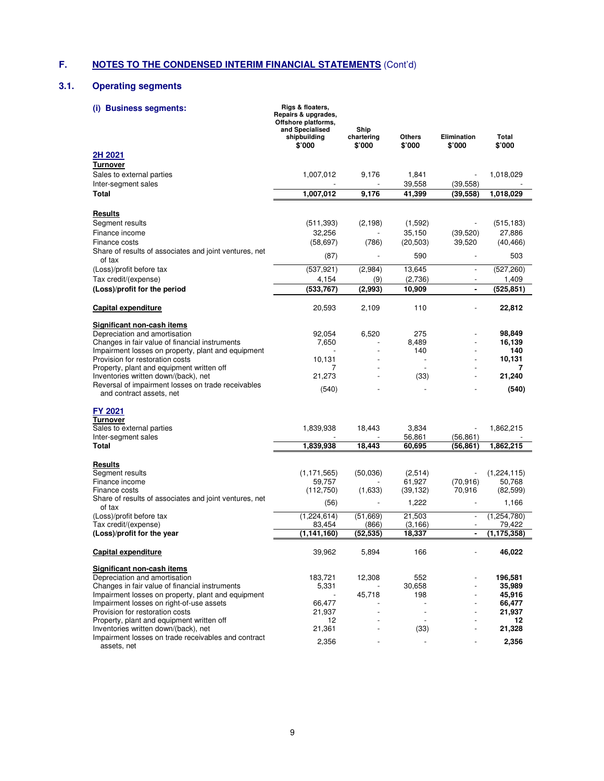# **3.1. Operating segments**

| <b>Business segments:</b><br>(i)                                                  | Rigs & floaters,<br>Repairs & upgrades,<br>Offshore platforms,<br>and Specialised<br>shipbuilding<br>\$'000 | Ship<br>chartering<br>\$'000 | Others<br>\$'000         | Elimination<br>\$'000 | Total<br>\$'000     |
|-----------------------------------------------------------------------------------|-------------------------------------------------------------------------------------------------------------|------------------------------|--------------------------|-----------------------|---------------------|
| 2H 2021                                                                           |                                                                                                             |                              |                          |                       |                     |
| <b>Turnover</b>                                                                   |                                                                                                             |                              |                          |                       |                     |
| Sales to external parties                                                         | 1,007,012                                                                                                   | 9,176                        | 1,841                    |                       | 1,018,029           |
| Inter-segment sales                                                               |                                                                                                             |                              | 39,558                   | (39, 558)             |                     |
| <b>Total</b>                                                                      | 1,007,012                                                                                                   | 9,176                        | 41,399                   | (39, 558)             | 1,018,029           |
| Results                                                                           |                                                                                                             |                              |                          |                       |                     |
| Segment results                                                                   | (511, 393)                                                                                                  | (2, 198)                     | (1,592)                  |                       | (515, 183)          |
| Finance income                                                                    | 32,256                                                                                                      |                              | 35,150                   | (39, 520)             | 27,886              |
| Finance costs                                                                     | (58, 697)                                                                                                   | (786)                        | (20, 503)                | 39,520                | (40, 466)           |
| Share of results of associates and joint ventures, net                            | (87)                                                                                                        |                              | 590                      |                       | 503                 |
| of tax<br>(Loss)/profit before tax                                                | (537, 921)                                                                                                  | (2,984)                      | 13,645                   | $\frac{1}{2}$         | (527, 260)          |
| Tax credit/(expense)                                                              | 4,154                                                                                                       | (9)                          | (2,736)                  |                       | 1,409               |
| (Loss)/profit for the period                                                      | (533, 767)                                                                                                  | (2,993)                      | 10,909                   | ä,                    | (525, 851)          |
| Capital expenditure                                                               | 20,593                                                                                                      | 2,109                        | 110                      |                       | 22,812              |
| <b>Significant non-cash items</b>                                                 |                                                                                                             |                              |                          |                       |                     |
| Depreciation and amortisation                                                     | 92,054                                                                                                      | 6,520                        | 275                      |                       | 98,849              |
| Changes in fair value of financial instruments                                    | 7,650                                                                                                       |                              | 8,489                    |                       | 16,139              |
| Impairment losses on property, plant and equipment                                |                                                                                                             |                              | 140                      |                       | 140                 |
| Provision for restoration costs                                                   | 10,131                                                                                                      |                              |                          |                       | 10,131              |
| Property, plant and equipment written off<br>Inventories written down/(back), net | 7<br>21,273                                                                                                 |                              | (33)                     |                       | 7<br>21,240         |
| Reversal of impairment losses on trade receivables<br>and contract assets, net    | (540)                                                                                                       |                              | $\overline{a}$           |                       | (540)               |
| FY 2021                                                                           |                                                                                                             |                              |                          |                       |                     |
| <b>Turnover</b>                                                                   |                                                                                                             |                              |                          |                       |                     |
| Sales to external parties                                                         | 1,839,938                                                                                                   | 18,443                       | 3,834                    |                       | 1,862,215           |
| Inter-segment sales                                                               |                                                                                                             |                              | 56,861                   | (56, 861)             |                     |
| Total                                                                             | 1,839,938                                                                                                   | 18,443                       | 60,695                   | (56, 861)             | 1,862,215           |
| Results                                                                           |                                                                                                             |                              |                          |                       |                     |
| Segment results<br>Finance income                                                 | (1, 171, 565)                                                                                               | (50,036)                     | (2,514)                  |                       | (1,224,115)         |
| Finance costs                                                                     | 59,757<br>(112,750)                                                                                         | (1,633)                      | 61,927<br>(39, 132)      | (70, 916)<br>70,916   | 50,768<br>(82, 599) |
| Share of results of associates and joint ventures, net                            |                                                                                                             |                              | 1,222                    |                       | 1,166               |
| of tax<br>(Loss)/profit before tax                                                | (56)<br>(1,224,614)                                                                                         | (51,669)                     | 21,503                   | $\overline{a}$        | (1,254,780)         |
| Tax credit/(expense)                                                              | 83,454                                                                                                      | (866)                        | (3, 166)                 |                       | 79,422              |
| (Loss)/profit for the year                                                        | (1, 141, 160)                                                                                               | (52, 535)                    | 18,337                   | ÷                     | (1, 175, 358)       |
| <b>Capital expenditure</b>                                                        | 39,962                                                                                                      | 5,894                        | 166                      |                       | 46,022              |
| Significant non-cash items                                                        |                                                                                                             |                              |                          |                       |                     |
| Depreciation and amortisation                                                     | 183,721                                                                                                     | 12,308                       | 552                      |                       | 196,581             |
| Changes in fair value of financial instruments                                    | 5,331                                                                                                       |                              | 30,658                   |                       | 35,989              |
| Impairment losses on property, plant and equipment                                |                                                                                                             | 45,718                       | 198                      |                       | 45,916              |
| Impairment losses on right-of-use assets                                          | 66,477                                                                                                      |                              |                          |                       | 66,477              |
| Provision for restoration costs<br>Property, plant and equipment written off      | 21,937<br>12                                                                                                |                              | $\overline{\phantom{a}}$ |                       | 21,937<br>12        |
| Inventories written down/(back), net                                              | 21,361                                                                                                      |                              | (33)                     |                       | 21,328              |
| Impairment losses on trade receivables and contract                               |                                                                                                             |                              |                          |                       |                     |
| assets, net                                                                       | 2,356                                                                                                       |                              |                          |                       | 2,356               |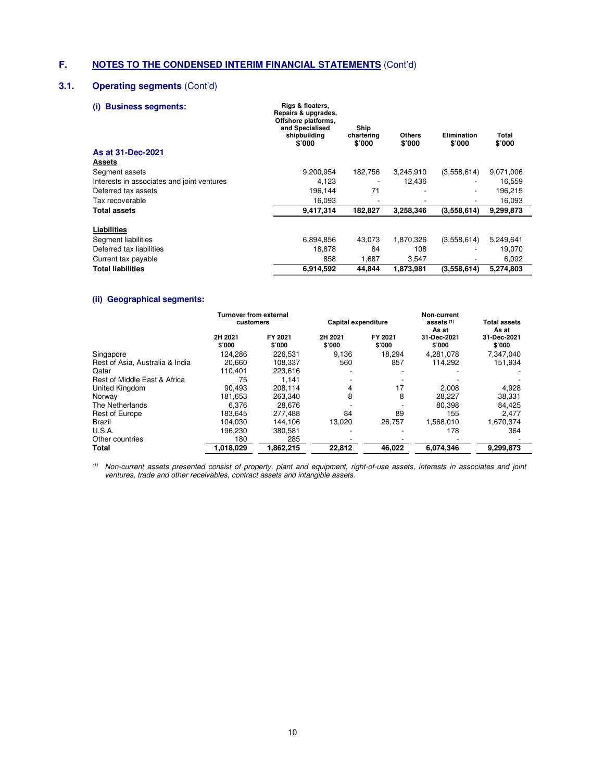# **3.1. Operating segments** (Cont'd)

## **(i) Business segments: Rigs & floaters,**

| w<br><b>DUSTRESS SEGILICITIS.</b>          | Repairs & upgrades,<br>Offshore platforms,<br>and Specialised<br>shipbuilding<br>\$'000 | Ship<br>chartering<br>\$7000 | <b>Others</b><br>\$'000 | <b>Elimination</b><br>\$'000 | Total<br>\$'000 |  |
|--------------------------------------------|-----------------------------------------------------------------------------------------|------------------------------|-------------------------|------------------------------|-----------------|--|
| As at 31-Dec-2021                          |                                                                                         |                              |                         |                              |                 |  |
| Assets                                     |                                                                                         |                              |                         |                              |                 |  |
| Segment assets                             | 9,200,954                                                                               | 182,756                      | 3,245,910               | (3,558,614)                  | 9,071,006       |  |
| Interests in associates and joint ventures | 4.123                                                                                   |                              | 12.436                  |                              | 16.559          |  |
| Deferred tax assets                        | 196,144                                                                                 | 71                           |                         |                              | 196.215         |  |
| Tax recoverable                            | 16,093                                                                                  |                              |                         |                              | 16,093          |  |
| Total assets                               | 9.417.314                                                                               | 182.827                      | 3.258.346               | (3,558,614)                  | 9,299,873       |  |
| Liabilities                                |                                                                                         |                              |                         |                              |                 |  |
| Segment liabilities                        | 6,894,856                                                                               | 43,073                       | 1,870,326               | (3,558,614)                  | 5,249,641       |  |
| Deferred tax liabilities                   | 18.878                                                                                  | 84                           | 108                     |                              | 19.070          |  |
| Current tax payable                        | 858                                                                                     | 1,687                        | 3,547                   |                              | 6,092           |  |
| <b>Total liabilities</b>                   | 6,914,592                                                                               | 44.844                       | 1.873.981               | (3,558,614)                  | 5.274.803       |  |

## **(ii) Geographical segments:**

|                                 | <b>Turnover from external</b><br>customers |                   | Capital expenditure |                   | Non-current<br>assets <sup>(1)</sup> | <b>Total assets</b>            |
|---------------------------------|--------------------------------------------|-------------------|---------------------|-------------------|--------------------------------------|--------------------------------|
|                                 | 2H 2021<br>\$'000                          | FY 2021<br>\$'000 | 2H 2021<br>\$'000   | FY 2021<br>\$'000 | As at<br>31-Dec-2021<br>\$'000       | As at<br>31-Dec-2021<br>\$'000 |
| Singapore                       | 124.286                                    | 226,531           | 9.136               | 18.294            | 4.281.078                            | 7.347.040                      |
| Rest of Asia, Australia & India | 20,660                                     | 108.337           | 560                 | 857               | 114.292                              | 151,934                        |
| Qatar                           | 110.401                                    | 223.616           |                     |                   |                                      |                                |
| Rest of Middle East & Africa    | 75                                         | 1,141             |                     |                   |                                      |                                |
| United Kingdom                  | 90.493                                     | 208.114           | 4                   | 17                | 2.008                                | 4,928                          |
| Norway                          | 181.653                                    | 263.340           | 8                   | 8                 | 28.227                               | 38.331                         |
| The Netherlands                 | 6.376                                      | 28.676            |                     |                   | 80.398                               | 84.425                         |
| Rest of Europe                  | 183.645                                    | 277.488           | 84                  | 89                | 155                                  | 2.477                          |
| Brazil                          | 104.030                                    | 144.106           | 13.020              | 26,757            | 1.568.010                            | 1,670,374                      |
| U.S.A.                          | 196.230                                    | 380.581           |                     |                   | 178                                  | 364                            |
| Other countries                 | 180                                        | 285               |                     |                   |                                      |                                |
| Total                           | 1,018,029                                  | 1.862.215         | 22,812              | 46,022            | 6.074.346                            | 9,299,873                      |

 $^{(1)}$  Non-current assets presented consist of property, plant and equipment, right-of-use assets, interests in associates and joint ventures, trade and other receivables, contract assets and intangible assets.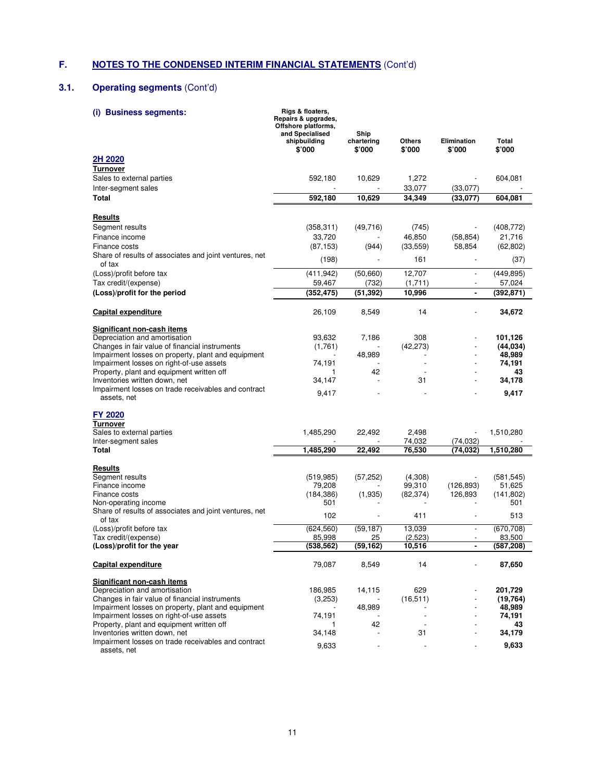# **3.1. Operating segments** (Cont'd)

| <b>Business segments:</b><br>(i)                                                                     | Rigs & floaters,<br>Repairs & upgrades,<br>Offshore platforms,<br>and Specialised<br>shipbuilding<br>\$'000 | Ship<br>chartering<br>\$'000 | Others<br>\$'000    | Elimination<br>\$'000  | Total<br>\$'000      |
|------------------------------------------------------------------------------------------------------|-------------------------------------------------------------------------------------------------------------|------------------------------|---------------------|------------------------|----------------------|
| 2H 2020                                                                                              |                                                                                                             |                              |                     |                        |                      |
| <b>Turnover</b>                                                                                      |                                                                                                             |                              |                     |                        |                      |
| Sales to external parties                                                                            | 592,180                                                                                                     | 10,629                       | 1,272               |                        | 604,081              |
| Inter-segment sales<br><b>Total</b>                                                                  | 592,180                                                                                                     | 10,629                       | 33,077<br>34,349    | (33,077)<br>(33,077)   | 604,081              |
|                                                                                                      |                                                                                                             |                              |                     |                        |                      |
| Results                                                                                              |                                                                                                             |                              |                     |                        |                      |
| Segment results                                                                                      | (358, 311)                                                                                                  | (49,716)                     | (745)               |                        | (408, 772)           |
| Finance income                                                                                       | 33,720                                                                                                      |                              | 46,850              | (58, 854)              | 21,716               |
| Finance costs                                                                                        | (87, 153)                                                                                                   | (944)                        | (33, 559)           | 58,854                 | (62, 802)            |
| Share of results of associates and joint ventures, net<br>of tax                                     | (198)                                                                                                       |                              | 161                 |                        | (37)                 |
| (Loss)/profit before tax                                                                             | (411, 942)                                                                                                  | (50,660)                     | 12,707              | $\overline{a}$         | (449, 895)           |
| Tax credit/(expense)                                                                                 | 59,467                                                                                                      | (732)                        | (1,711)             |                        | 57,024               |
| (Loss)/profit for the period                                                                         | (352, 475)                                                                                                  | (51, 392)                    | 10,996              | $\blacksquare$         | (392, 871)           |
| <b>Capital expenditure</b>                                                                           | 26,109                                                                                                      | 8,549                        | 14                  |                        | 34,672               |
| Significant non-cash items                                                                           |                                                                                                             |                              |                     |                        |                      |
| Depreciation and amortisation                                                                        | 93,632                                                                                                      | 7.186                        | 308                 |                        | 101,126              |
| Changes in fair value of financial instruments<br>Impairment losses on property, plant and equipment | (1,761)                                                                                                     | 48,989                       | (42, 273)           |                        | (44,034)<br>48,989   |
| Impairment losses on right-of-use assets                                                             | 74,191                                                                                                      |                              |                     |                        | 74,191               |
| Property, plant and equipment written off                                                            | 1                                                                                                           | 42                           |                     |                        | 43                   |
| Inventories written down, net<br>Impairment losses on trade receivables and contract                 | 34,147                                                                                                      |                              | 31                  |                        | 34,178               |
| assets, net                                                                                          | 9,417                                                                                                       |                              |                     |                        | 9,417                |
| FY 2020                                                                                              |                                                                                                             |                              |                     |                        |                      |
| <b>Turnover</b>                                                                                      |                                                                                                             |                              |                     |                        |                      |
| Sales to external parties                                                                            | 1,485,290                                                                                                   | 22,492                       | 2,498               |                        | 1,510,280            |
| Inter-segment sales<br>Total                                                                         | 1,485,290                                                                                                   | 22,492                       | 74,032<br>76,530    | (74, 032)<br>(74, 032) | 1,510,280            |
|                                                                                                      |                                                                                                             |                              |                     |                        |                      |
| Results                                                                                              |                                                                                                             |                              |                     |                        |                      |
| Segment results                                                                                      | (519, 985)                                                                                                  | (57, 252)                    | (4,308)             |                        | (581, 545)           |
| Finance income<br>Finance costs                                                                      | 79,208<br>(184, 386)                                                                                        | (1,935)                      | 99,310<br>(82, 374) | (126, 893)<br>126,893  | 51,625<br>(141, 802) |
| Non-operating income                                                                                 | 501                                                                                                         |                              |                     |                        | 501                  |
| Share of results of associates and joint ventures, net<br>of tax                                     | 102                                                                                                         |                              | 411                 | $\overline{a}$         | 513                  |
| (Loss)/profit before tax                                                                             | (624, 560)                                                                                                  | (59, 187)                    | 13,039              | $\frac{1}{2}$          | (670, 708)           |
| Tax credit/(expense)                                                                                 | 85,998                                                                                                      | 25                           | (2,523)             |                        | 83,500               |
| (Loss)/profit for the year                                                                           | (538, 562)                                                                                                  | (59, 162)                    | 10,516              | $\blacksquare$         | (587, 208)           |
| Capital expenditure                                                                                  | 79,087                                                                                                      | 8,549                        | 14                  |                        | 87,650               |
| Significant non-cash items                                                                           |                                                                                                             |                              |                     |                        |                      |
| Depreciation and amortisation<br>Changes in fair value of financial instruments                      | 186,985                                                                                                     | 14,115                       | 629<br>(16, 511)    |                        | 201,729<br>(19, 764) |
| Impairment losses on property, plant and equipment                                                   | (3,253)                                                                                                     | 48,989                       |                     |                        | 48,989               |
| Impairment losses on right-of-use assets                                                             | 74,191                                                                                                      |                              |                     |                        | 74,191               |
| Property, plant and equipment written off                                                            | 1                                                                                                           | 42                           |                     |                        | 43                   |
| Inventories written down, net<br>Impairment losses on trade receivables and contract                 | 34,148                                                                                                      |                              | 31                  |                        | 34,179               |
| assets, net                                                                                          | 9,633                                                                                                       |                              |                     |                        | 9,633                |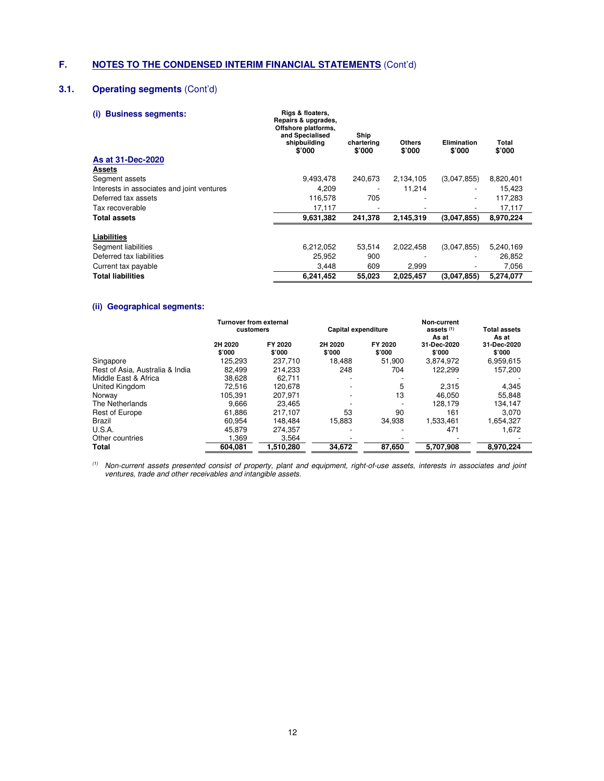# **3.1. Operating segments** (Cont'd)

| <b>Business segments:</b><br>(i)           | Rigs & floaters,<br>Repairs & upgrades,<br>Offshore platforms,<br>and Specialised<br>shipbuilding<br>\$'000 | Ship<br>chartering<br>\$'000 | <b>Others</b><br>\$'000 | <b>Elimination</b><br>\$'000 | Total<br>\$'000 |
|--------------------------------------------|-------------------------------------------------------------------------------------------------------------|------------------------------|-------------------------|------------------------------|-----------------|
| As at 31-Dec-2020                          |                                                                                                             |                              |                         |                              |                 |
| Assets                                     |                                                                                                             |                              |                         |                              |                 |
| Segment assets                             | 9,493,478                                                                                                   | 240,673                      | 2,134,105               | (3,047,855)                  | 8,820,401       |
| Interests in associates and joint ventures | 4.209                                                                                                       |                              | 11.214                  |                              | 15,423          |
| Deferred tax assets                        | 116,578                                                                                                     | 705                          |                         | $\overline{\phantom{a}}$     | 117,283         |
| Tax recoverable                            | 17,117                                                                                                      |                              |                         |                              | 17,117          |
| <b>Total assets</b>                        | 9,631,382                                                                                                   | 241,378                      | 2,145,319               | (3.047.855)                  | 8,970,224       |
| Liabilities                                |                                                                                                             |                              |                         |                              |                 |
| Segment liabilities                        | 6,212,052                                                                                                   | 53,514                       | 2,022,458               | (3,047,855)                  | 5,240,169       |
| Deferred tax liabilities                   | 25,952                                                                                                      | 900                          |                         |                              | 26,852          |
| Current tax payable                        | 3,448                                                                                                       | 609                          | 2,999                   |                              | 7,056           |
| <b>Total liabilities</b>                   | 6,241,452                                                                                                   | 55,023                       | 2,025,457               | (3.047.855)                  | 5,274,077       |

# **(ii) Geographical segments:**

|                                 | <b>Turnover from external</b> |                   |                     |                   | Non-current<br>assets <sup>(1)</sup> | <b>Total assets</b>   |  |
|---------------------------------|-------------------------------|-------------------|---------------------|-------------------|--------------------------------------|-----------------------|--|
|                                 | customers                     |                   | Capital expenditure |                   | As at                                | As at                 |  |
|                                 | 2H 2020<br>\$'000             | FY 2020<br>\$'000 | 2H 2020<br>\$'000   | FY 2020<br>\$'000 | 31-Dec-2020<br>\$'000                | 31-Dec-2020<br>\$'000 |  |
| Singapore                       | 125.293                       | 237.710           | 18.488              | 51.900            | 3.874.972                            | 6,959,615             |  |
| Rest of Asia, Australia & India | 82.499                        | 214.233           | 248                 | 704               | 122.299                              | 157.200               |  |
| Middle East & Africa            | 38.628                        | 62.711            |                     |                   |                                      |                       |  |
| United Kingdom                  | 72.516                        | 120.678           |                     | 5                 | 2.315                                | 4.345                 |  |
| Norway                          | 105.391                       | 207.971           |                     | 13                | 46.050                               | 55.848                |  |
| The Netherlands                 | 9.666                         | 23.465            |                     |                   | 128.179                              | 134.147               |  |
| Rest of Europe                  | 61.886                        | 217.107           | 53                  | 90                | 161                                  | 3.070                 |  |
| Brazil                          | 60.954                        | 148.484           | 15.883              | 34.938            | 1,533,461                            | 1,654,327             |  |
| U.S.A.                          | 45.879                        | 274.357           |                     |                   | 471                                  | 1.672                 |  |
| Other countries                 | 1,369                         | 3,564             |                     |                   |                                      |                       |  |
| Total                           | 604.081                       | 1.510.280         | 34.672              | 87.650            | 5.707.908                            | 8.970.224             |  |

 $<sup>(1)</sup>$  Non-current assets presented consist of property, plant and equipment, right-of-use assets, interests in associates and joint</sup> ventures, trade and other receivables and intangible assets.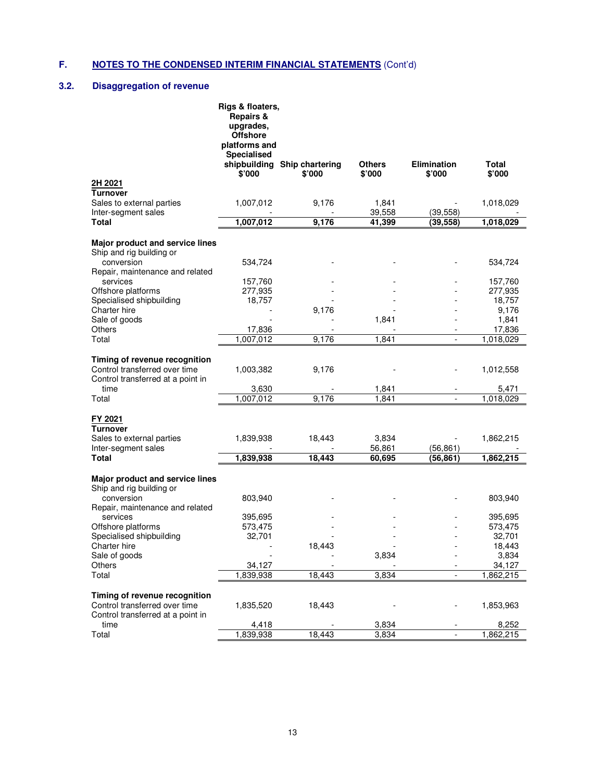# **3.2. Disaggregation of revenue**

|                                                             | Rigs & floaters,<br><b>Repairs &amp;</b><br>upgrades,<br><b>Offshore</b><br>platforms and<br><b>Specialised</b> |                                        |                         |                              |                        |
|-------------------------------------------------------------|-----------------------------------------------------------------------------------------------------------------|----------------------------------------|-------------------------|------------------------------|------------------------|
|                                                             | \$'000                                                                                                          | shipbuilding Ship chartering<br>\$'000 | <b>Others</b><br>\$'000 | <b>Elimination</b><br>\$'000 | Total<br>\$'000        |
| 2H 2021<br><b>Turnover</b>                                  |                                                                                                                 |                                        |                         |                              |                        |
| Sales to external parties                                   | 1,007,012                                                                                                       | 9,176                                  | 1,841<br>39.558         |                              | 1,018,029              |
| Inter-segment sales<br>Total                                | 1,007,012                                                                                                       | 9,176                                  | 41,399                  | (39, 558)<br>(39, 558)       | 1,018,029              |
|                                                             |                                                                                                                 |                                        |                         |                              |                        |
| Major product and service lines<br>Ship and rig building or |                                                                                                                 |                                        |                         |                              |                        |
| conversion<br>Repair, maintenance and related               | 534,724                                                                                                         |                                        |                         |                              | 534,724                |
| services                                                    | 157,760                                                                                                         |                                        |                         |                              | 157,760                |
| Offshore platforms                                          | 277,935                                                                                                         |                                        |                         |                              | 277,935                |
| Specialised shipbuilding                                    | 18,757                                                                                                          |                                        |                         |                              | 18,757                 |
| Charter hire                                                |                                                                                                                 | 9,176                                  |                         |                              | 9,176                  |
| Sale of goods                                               |                                                                                                                 |                                        | 1,841                   |                              | 1,841                  |
| <b>Others</b>                                               | 17,836                                                                                                          |                                        |                         |                              | 17,836                 |
| Total                                                       | 1,007,012                                                                                                       | 9,176                                  | 1.841                   |                              | 1,018,029              |
|                                                             |                                                                                                                 |                                        |                         |                              |                        |
| Timing of revenue recognition                               |                                                                                                                 |                                        |                         |                              |                        |
| Control transferred over time                               | 1,003,382                                                                                                       | 9,176                                  |                         |                              | 1,012,558              |
| Control transferred at a point in                           |                                                                                                                 |                                        |                         |                              |                        |
| time                                                        | 3,630                                                                                                           |                                        | 1,841                   |                              | 5,471                  |
| Total                                                       | 1,007,012                                                                                                       | 9,176                                  | 1.841                   |                              | 1,018,029              |
|                                                             |                                                                                                                 |                                        |                         |                              |                        |
| FY 2021                                                     |                                                                                                                 |                                        |                         |                              |                        |
| <b>Turnover</b>                                             |                                                                                                                 |                                        |                         |                              |                        |
| Sales to external parties                                   | 1,839,938                                                                                                       | 18,443                                 | 3,834<br>56,861         |                              | 1,862,215              |
| Inter-segment sales<br>Total                                | 1,839,938                                                                                                       | 18,443                                 | 60,695                  | (56,861)<br>(56,861)         |                        |
|                                                             |                                                                                                                 |                                        |                         |                              | 1,862,215              |
| Major product and service lines                             |                                                                                                                 |                                        |                         |                              |                        |
| Ship and rig building or                                    |                                                                                                                 |                                        |                         |                              |                        |
| conversion                                                  | 803,940                                                                                                         |                                        |                         |                              | 803,940                |
| Repair, maintenance and related                             |                                                                                                                 |                                        |                         |                              |                        |
| services                                                    | 395,695                                                                                                         |                                        |                         |                              | 395,695                |
| Offshore platforms                                          | 573,475                                                                                                         |                                        |                         |                              | 573,475                |
| Specialised shipbuilding                                    | 32,701                                                                                                          |                                        |                         |                              | 32,701                 |
| Charter hire                                                |                                                                                                                 | 18,443                                 |                         |                              | 18,443                 |
| Sale of goods                                               |                                                                                                                 |                                        | 3,834                   |                              | 3,834                  |
| Others                                                      | 34,127                                                                                                          |                                        |                         |                              | 34,127                 |
| Total                                                       | 1,839,938                                                                                                       | 18,443                                 | 3,834                   |                              | $\overline{1,}862,215$ |
|                                                             |                                                                                                                 |                                        |                         |                              |                        |
| Timing of revenue recognition                               |                                                                                                                 |                                        |                         |                              |                        |
| Control transferred over time                               | 1,835,520                                                                                                       | 18,443                                 |                         |                              | 1,853,963              |
| Control transferred at a point in                           |                                                                                                                 |                                        |                         |                              |                        |
| time                                                        | 4,418                                                                                                           |                                        | 3,834                   |                              | 8,252                  |
| Total                                                       | 1,839,938                                                                                                       | 18,443                                 | 3,834                   |                              | 1,862,215              |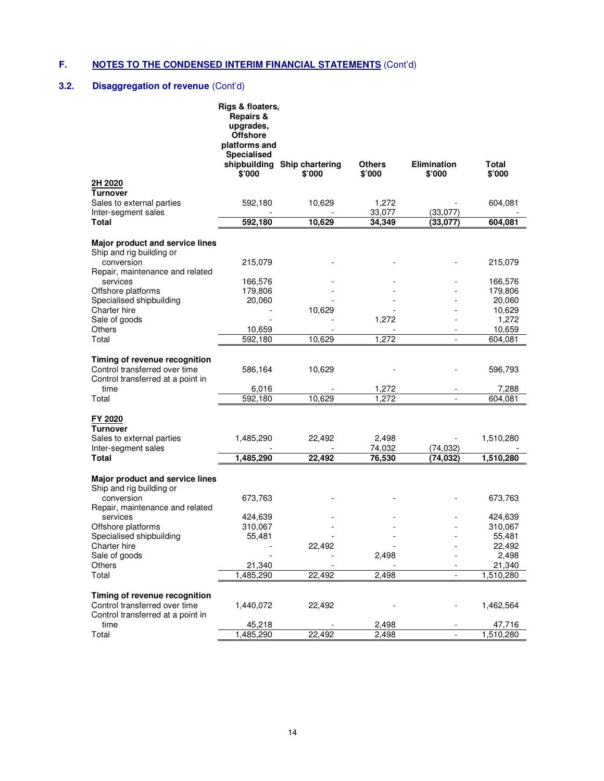# **3.2. Disaggregation of revenue** (Cont'd)

|                                                                                | Rigs & floaters,<br><b>Repairs &amp;</b><br>upgrades,<br><b>Offshore</b><br>platforms and<br>Specialised |                                        |                         |                              |                     |
|--------------------------------------------------------------------------------|----------------------------------------------------------------------------------------------------------|----------------------------------------|-------------------------|------------------------------|---------------------|
|                                                                                | \$'000                                                                                                   | shipbuilding Ship chartering<br>\$'000 | <b>Others</b><br>\$'000 | <b>Elimination</b><br>\$'000 | Total<br>\$'000     |
| 2H 2020<br><b>Turnover</b>                                                     |                                                                                                          |                                        |                         |                              |                     |
| Sales to external parties                                                      | 592,180                                                                                                  | 10,629                                 | 1,272                   |                              | 604,081             |
| Inter-segment sales<br><b>Total</b>                                            | 592,180                                                                                                  | 10,629                                 | 33,077<br>34,349        | (33, 077)<br>(33,077)        | 604,081             |
|                                                                                |                                                                                                          |                                        |                         |                              |                     |
| Major product and service lines<br>Ship and rig building or                    |                                                                                                          |                                        |                         |                              |                     |
| conversion<br>Repair, maintenance and related                                  | 215,079                                                                                                  |                                        |                         |                              | 215,079             |
| services                                                                       | 166,576                                                                                                  |                                        |                         |                              | 166,576             |
| Offshore platforms                                                             | 179,806                                                                                                  |                                        |                         |                              | 179,806             |
| Specialised shipbuilding                                                       | 20,060                                                                                                   |                                        |                         |                              | 20,060              |
| Charter hire                                                                   |                                                                                                          | 10,629                                 |                         |                              | 10,629              |
| Sale of goods<br>Others                                                        |                                                                                                          |                                        | 1,272                   |                              | 1,272               |
| Total                                                                          | 10,659<br>592,180                                                                                        | 10,629                                 | 1,272                   |                              | 10,659<br>604,081   |
|                                                                                |                                                                                                          |                                        |                         |                              |                     |
| Timing of revenue recognition                                                  |                                                                                                          |                                        |                         |                              |                     |
| Control transferred over time                                                  | 586,164                                                                                                  | 10,629                                 |                         |                              | 596,793             |
| Control transferred at a point in                                              |                                                                                                          |                                        |                         |                              |                     |
| time                                                                           | 6,016                                                                                                    |                                        | 1,272                   |                              | 7,288               |
| Total                                                                          | 592,180                                                                                                  | 10,629                                 | 1,272                   |                              | 604,081             |
| FY 2020<br><b>Turnover</b><br>Sales to external parties<br>Inter-segment sales | 1,485,290                                                                                                | 22,492                                 | 2,498<br>74,032         | (74, 032)                    | 1,510,280           |
| Total                                                                          | 1,485,290                                                                                                | 22,492                                 | 76,530                  | (74,032)                     | 1,510,280           |
| Major product and service lines<br>Ship and rig building or                    |                                                                                                          |                                        |                         |                              |                     |
| conversion<br>Repair, maintenance and related                                  | 673,763                                                                                                  |                                        |                         |                              | 673,763             |
| services                                                                       | 424,639                                                                                                  |                                        |                         |                              | 424,639             |
| Offshore platforms                                                             | 310,067                                                                                                  |                                        |                         |                              | 310,067             |
| Specialised shipbuilding                                                       | 55,481                                                                                                   |                                        |                         |                              | 55,481              |
| Charter hire                                                                   |                                                                                                          | 22,492                                 |                         |                              | 22,492              |
| Sale of goods                                                                  |                                                                                                          |                                        | 2,498                   |                              | 2,498               |
| Others<br>Total                                                                | 21,340<br>1.485.290                                                                                      | 22,492                                 | 2,498                   |                              | 21,340<br>1,510,280 |
|                                                                                |                                                                                                          |                                        |                         |                              |                     |
| Timing of revenue recognition<br>Control transferred over time                 | 1,440,072                                                                                                | 22,492                                 |                         |                              | 1,462,564           |
| Control transferred at a point in                                              |                                                                                                          |                                        |                         |                              |                     |
| time<br>Total                                                                  | 45,218<br>1,485,290                                                                                      | 22,492                                 | 2,498<br>2,498          |                              | 47,716<br>1,510,280 |
|                                                                                |                                                                                                          |                                        |                         |                              |                     |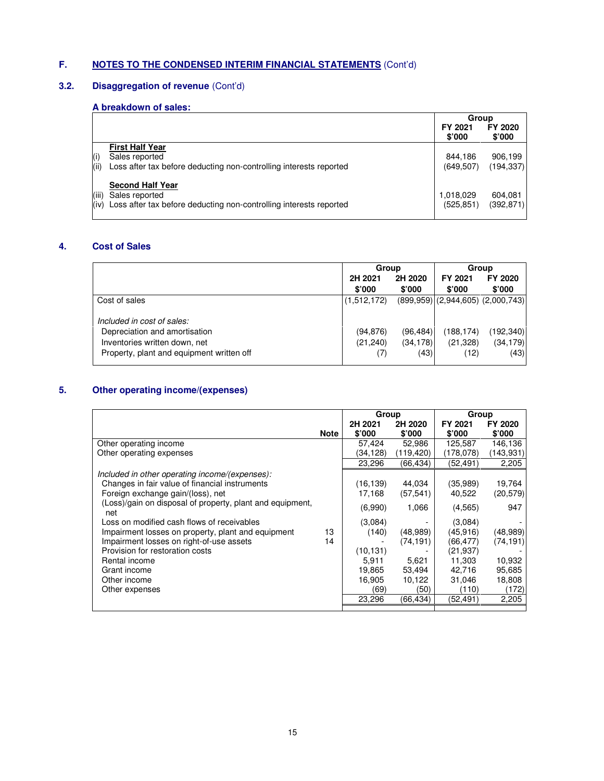# **3.2. Disaggregation of revenue** (Cont'd)

# **A breakdown of sales:**

|       |                                                                         | Group             |                           |
|-------|-------------------------------------------------------------------------|-------------------|---------------------------|
|       |                                                                         | FY 2021<br>\$'000 | FY 2020<br>$$^{\circ}000$ |
|       | <b>First Half Year</b>                                                  |                   |                           |
| (i)   | Sales reported                                                          | 844.186           | 906,199                   |
| (iii) | Loss after tax before deducting non-controlling interests reported      | (649, 507)        | (194, 337)                |
|       | <b>Second Half Year</b>                                                 |                   |                           |
| (iii) | Sales reported                                                          | 1,018,029         | 604,081                   |
|       | (iv) Loss after tax before deducting non-controlling interests reported | (525, 851)        | (392, 871)                |

# **4. Cost of Sales**

|                                           | Group             |                   | Group             |                                         |
|-------------------------------------------|-------------------|-------------------|-------------------|-----------------------------------------|
|                                           | 2H 2021<br>\$'000 | 2H 2020<br>\$'000 | FY 2021<br>\$'000 | FY 2020<br>\$'000                       |
| Cost of sales                             | (1,512,172)       |                   |                   | $(899.959)$ $(2.944.605)$ $(2.000.743)$ |
| Included in cost of sales:                |                   |                   |                   |                                         |
| Depreciation and amortisation             | (94, 876)         | (96,484)          | (188,174)         | (192, 340)                              |
| Inventories written down, net             | (21, 240)         | (34, 178)         | (21, 328)         | (34, 179)                               |
| Property, plant and equipment written off | (7)               | (43)              | (12)              | (43)                                    |

# **5. Other operating income/(expenses)**

|                                                           |             | Group     |                 | Group           |                 |
|-----------------------------------------------------------|-------------|-----------|-----------------|-----------------|-----------------|
|                                                           |             | 2H 2021   | 2H 2020         | FY 2021         | FY 2020         |
|                                                           | <b>Note</b> | \$'000    | $$^{\prime}000$ | $$^{\prime}000$ | $$^{\prime}000$ |
| Other operating income                                    |             | 57,424    | 52,986          | 125.587         | 146,136         |
| Other operating expenses                                  |             | (34.128)  | (119,420)       | (178,078)       | (143,931)       |
|                                                           |             | 23,296    | (66,434)        | (52,491)        | 2,205           |
| Included in other operating income/(expenses):            |             |           |                 |                 |                 |
| Changes in fair value of financial instruments            |             | (16, 139) | 44,034          | (35,989)        | 19,764          |
| Foreign exchange gain/(loss), net                         |             | 17,168    | (57, 541)       | 40.522          | (20, 579)       |
| (Loss)/gain on disposal of property, plant and equipment, |             | (6.990)   | 1,066           | (4,565)         | 947             |
| net                                                       |             |           |                 |                 |                 |
| Loss on modified cash flows of receivables                |             | (3,084)   |                 | (3,084)         |                 |
| Impairment losses on property, plant and equipment        | 13          | (140)     | (48,989)        | (45.916)        | (48, 989)       |
| Impairment losses on right-of-use assets                  | 14          |           | (74, 191)       | (66,477)        | (74,191)        |
| Provision for restoration costs                           |             | (10, 131) |                 | (21,937)        |                 |
| Rental income                                             |             | 5,911     | 5,621           | 11,303          | 10,932          |
| Grant income                                              |             | 19,865    | 53,494          | 42,716          | 95,685          |
| Other income                                              |             | 16,905    | 10,122          | 31.046          | 18,808          |
| Other expenses                                            |             | (69)      | (50)            | (110)           | (172)           |
|                                                           |             | 23,296    | (66,434)        | (52,491)        | 2,205           |
|                                                           |             |           |                 |                 |                 |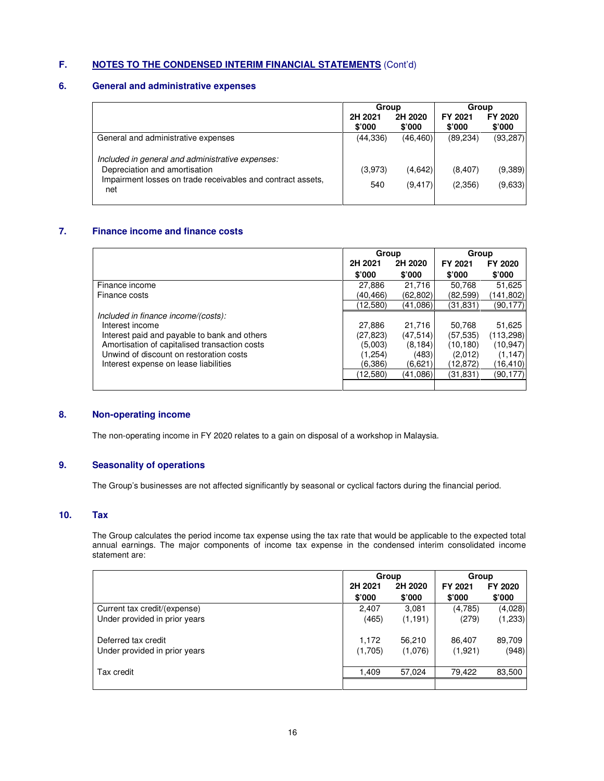## **6. General and administrative expenses**

|                                                                                                     | Group             |                   | Group             |                   |
|-----------------------------------------------------------------------------------------------------|-------------------|-------------------|-------------------|-------------------|
|                                                                                                     | 2H 2021<br>\$'000 | 2H 2020<br>\$'000 | FY 2021<br>\$'000 | FY 2020<br>\$'000 |
| General and administrative expenses                                                                 | (44, 336)         | (46, 460)         | (89, 234)         | (93, 287)         |
| Included in general and administrative expenses:                                                    |                   |                   |                   |                   |
| Depreciation and amortisation<br>Impairment losses on trade receivables and contract assets,<br>net | (3,973)           | (4,642)           | (8,407)           | (9,389)           |
|                                                                                                     | 540               | (9.417)           | (2,356)           | (9,633)           |

## **7. Finance income and finance costs**

|                                               | Group    |           | Group     |            |
|-----------------------------------------------|----------|-----------|-----------|------------|
|                                               | 2H 2021  | 2H 2020   | FY 2021   | FY 2020    |
|                                               | \$'000   | \$'000    | \$'000    | \$'000     |
| Finance income                                | 27.886   | 21.716    | 50.768    | 51,625     |
| Finance costs                                 | (40,466) | (62,802)  | (82,599)  | (141,802)  |
|                                               | (12,580) | (41,086)  | (31,831)  | (90.177)   |
| Included in finance income/(costs):           |          |           |           |            |
| Interest income                               | 27.886   | 21,716    | 50.768    | 51,625     |
| Interest paid and payable to bank and others  | (27,823) | (47, 514) | (57,535)  | (113, 298) |
| Amortisation of capitalised transaction costs | (5,003)  | (8, 184)  | (10, 180) | (10, 947)  |
| Unwind of discount on restoration costs       | (1,254)  | (483)     | (2,012)   | (1, 147)   |
| Interest expense on lease liabilities         | (6.386)  | (6,621)   | (12,872)  | (16,410)   |
|                                               | (12,580) | (41.086)  | (31,831)  | (90,177)   |
|                                               |          |           |           |            |

## **8. Non-operating income**

The non-operating income in FY 2020 relates to a gain on disposal of a workshop in Malaysia.

# **9. Seasonality of operations**

The Group's businesses are not affected significantly by seasonal or cyclical factors during the financial period.

## **10. Tax**

The Group calculates the period income tax expense using the tax rate that would be applicable to the expected total annual earnings. The major components of income tax expense in the condensed interim consolidated income statement are:

|                               | Group   |          | Group   |          |
|-------------------------------|---------|----------|---------|----------|
|                               | 2H 2021 | 2H 2020  | FY 2021 | FY 2020  |
|                               | \$'000  | \$'000   | \$'000  | \$'000   |
| Current tax credit/(expense)  | 2.407   | 3,081    | (4,785) | (4,028)  |
| Under provided in prior years | (465)   | (1, 191) | (279)   | (1, 233) |
| Deferred tax credit           | 1,172   | 56,210   | 86,407  | 89,709   |
| Under provided in prior years | (1,705) | (1,076)  | (1,921) | (948)    |
| Tax credit                    | 1,409   | 57.024   | 79,422  | 83,500   |
|                               |         |          |         |          |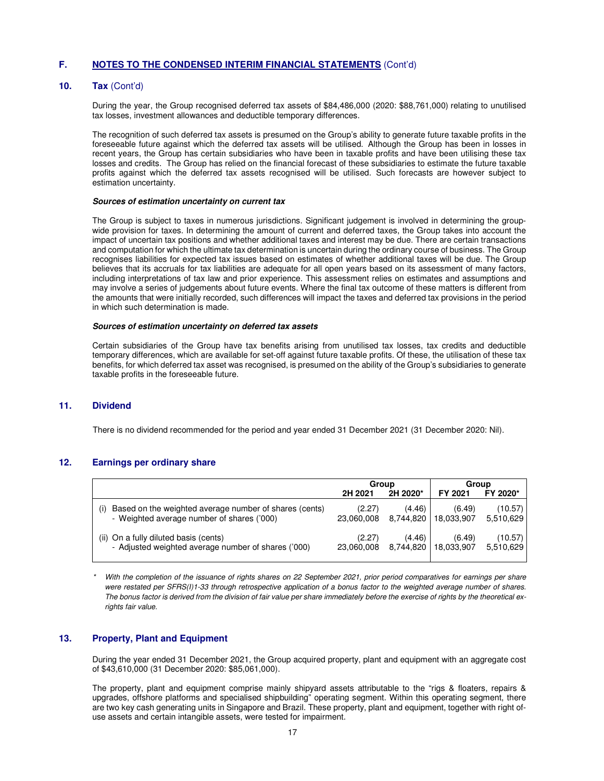### **10. Tax** (Cont'd)

During the year, the Group recognised deferred tax assets of \$84,486,000 (2020: \$88,761,000) relating to unutilised tax losses, investment allowances and deductible temporary differences.

The recognition of such deferred tax assets is presumed on the Group's ability to generate future taxable profits in the foreseeable future against which the deferred tax assets will be utilised. Although the Group has been in losses in recent years, the Group has certain subsidiaries who have been in taxable profits and have been utilising these tax losses and credits. The Group has relied on the financial forecast of these subsidiaries to estimate the future taxable profits against which the deferred tax assets recognised will be utilised. Such forecasts are however subject to estimation uncertainty.

#### **Sources of estimation uncertainty on current tax**

The Group is subject to taxes in numerous jurisdictions. Significant judgement is involved in determining the groupwide provision for taxes. In determining the amount of current and deferred taxes, the Group takes into account the impact of uncertain tax positions and whether additional taxes and interest may be due. There are certain transactions and computation for which the ultimate tax determination is uncertain during the ordinary course of business. The Group recognises liabilities for expected tax issues based on estimates of whether additional taxes will be due. The Group believes that its accruals for tax liabilities are adequate for all open years based on its assessment of many factors, including interpretations of tax law and prior experience. This assessment relies on estimates and assumptions and may involve a series of judgements about future events. Where the final tax outcome of these matters is different from the amounts that were initially recorded, such differences will impact the taxes and deferred tax provisions in the period in which such determination is made.

#### **Sources of estimation uncertainty on deferred tax assets**

Certain subsidiaries of the Group have tax benefits arising from unutilised tax losses, tax credits and deductible temporary differences, which are available for set-off against future taxable profits. Of these, the utilisation of these tax benefits, for which deferred tax asset was recognised, is presumed on the ability of the Group's subsidiaries to generate taxable profits in the foreseeable future.

## **11. Dividend**

There is no dividend recommended for the period and year ended 31 December 2021 (31 December 2020: Nil).

## **12. Earnings per ordinary share**

|                                                                                                             | Group                |                     | Group                |                      |
|-------------------------------------------------------------------------------------------------------------|----------------------|---------------------|----------------------|----------------------|
|                                                                                                             | 2H 2021              | 2H 2020*            | FY 2021              | FY 2020*             |
| Based on the weighted average number of shares (cents)<br>(i)<br>- Weighted average number of shares ('000) | (2.27)<br>23.060.008 | (4.46)<br>8.744.820 | (6.49)<br>18,033,907 | (10.57)<br>5.510.629 |
| (ii) On a fully diluted basis (cents)<br>- Adjusted weighted average number of shares ('000)                | (2.27)<br>23.060.008 | (4.46)<br>8.744.820 | (6.49)<br>18.033.907 | (10.57)<br>5,510,629 |

With the completion of the issuance of rights shares on 22 September 2021, prior period comparatives for earnings per share were restated per SFRS(I)1-33 through retrospective application of a bonus factor to the weighted average number of shares. The bonus factor is derived from the division of fair value per share immediately before the exercise of rights by the theoretical exrights fair value.

### **13. Property, Plant and Equipment**

During the year ended 31 December 2021, the Group acquired property, plant and equipment with an aggregate cost of \$43,610,000 (31 December 2020: \$85,061,000).

The property, plant and equipment comprise mainly shipyard assets attributable to the "rigs & floaters, repairs & upgrades, offshore platforms and specialised shipbuilding" operating segment. Within this operating segment, there are two key cash generating units in Singapore and Brazil. These property, plant and equipment, together with right ofuse assets and certain intangible assets, were tested for impairment.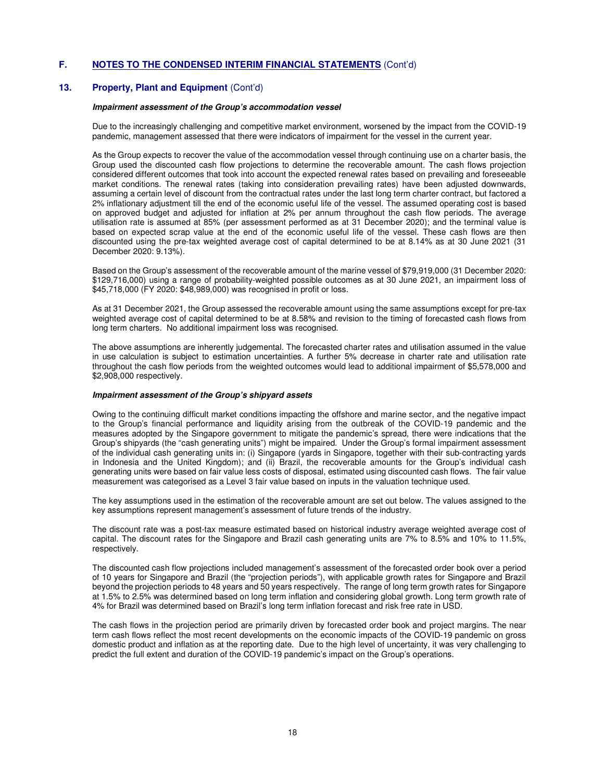#### **13. Property, Plant and Equipment** (Cont'd)

#### **Impairment assessment of the Group's accommodation vessel**

Due to the increasingly challenging and competitive market environment, worsened by the impact from the COVID-19 pandemic, management assessed that there were indicators of impairment for the vessel in the current year.

As the Group expects to recover the value of the accommodation vessel through continuing use on a charter basis, the Group used the discounted cash flow projections to determine the recoverable amount. The cash flows projection considered different outcomes that took into account the expected renewal rates based on prevailing and foreseeable market conditions. The renewal rates (taking into consideration prevailing rates) have been adjusted downwards, assuming a certain level of discount from the contractual rates under the last long term charter contract, but factored a 2% inflationary adjustment till the end of the economic useful life of the vessel. The assumed operating cost is based on approved budget and adjusted for inflation at 2% per annum throughout the cash flow periods. The average utilisation rate is assumed at 85% (per assessment performed as at 31 December 2020); and the terminal value is based on expected scrap value at the end of the economic useful life of the vessel. These cash flows are then discounted using the pre-tax weighted average cost of capital determined to be at 8.14% as at 30 June 2021 (31 December 2020: 9.13%).

Based on the Group's assessment of the recoverable amount of the marine vessel of \$79,919,000 (31 December 2020: \$129,716,000) using a range of probability-weighted possible outcomes as at 30 June 2021, an impairment loss of \$45,718,000 (FY 2020: \$48,989,000) was recognised in profit or loss.

As at 31 December 2021, the Group assessed the recoverable amount using the same assumptions except for pre-tax weighted average cost of capital determined to be at 8.58% and revision to the timing of forecasted cash flows from long term charters. No additional impairment loss was recognised.

The above assumptions are inherently judgemental. The forecasted charter rates and utilisation assumed in the value in use calculation is subject to estimation uncertainties. A further 5% decrease in charter rate and utilisation rate throughout the cash flow periods from the weighted outcomes would lead to additional impairment of \$5,578,000 and \$2,908,000 respectively.

#### **Impairment assessment of the Group's shipyard assets**

Owing to the continuing difficult market conditions impacting the offshore and marine sector, and the negative impact to the Group's financial performance and liquidity arising from the outbreak of the COVID-19 pandemic and the measures adopted by the Singapore government to mitigate the pandemic's spread, there were indications that the Group's shipyards (the "cash generating units") might be impaired. Under the Group's formal impairment assessment of the individual cash generating units in: (i) Singapore (yards in Singapore, together with their sub-contracting yards in Indonesia and the United Kingdom); and (ii) Brazil, the recoverable amounts for the Group's individual cash generating units were based on fair value less costs of disposal, estimated using discounted cash flows. The fair value measurement was categorised as a Level 3 fair value based on inputs in the valuation technique used.

The key assumptions used in the estimation of the recoverable amount are set out below. The values assigned to the key assumptions represent management's assessment of future trends of the industry.

The discount rate was a post-tax measure estimated based on historical industry average weighted average cost of capital. The discount rates for the Singapore and Brazil cash generating units are 7% to 8.5% and 10% to 11.5%, respectively.

The discounted cash flow projections included management's assessment of the forecasted order book over a period of 10 years for Singapore and Brazil (the "projection periods"), with applicable growth rates for Singapore and Brazil beyond the projection periods to 48 years and 50 years respectively. The range of long term growth rates for Singapore at 1.5% to 2.5% was determined based on long term inflation and considering global growth. Long term growth rate of 4% for Brazil was determined based on Brazil's long term inflation forecast and risk free rate in USD.

The cash flows in the projection period are primarily driven by forecasted order book and project margins. The near term cash flows reflect the most recent developments on the economic impacts of the COVID-19 pandemic on gross domestic product and inflation as at the reporting date. Due to the high level of uncertainty, it was very challenging to predict the full extent and duration of the COVID-19 pandemic's impact on the Group's operations.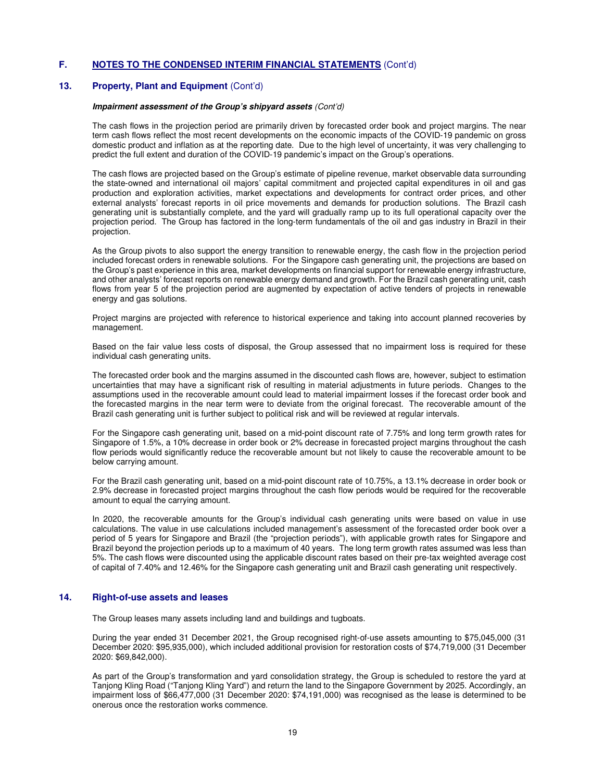### **13. Property, Plant and Equipment** (Cont'd)

#### **Impairment assessment of the Group's shipyard assets** (Cont'd)

The cash flows in the projection period are primarily driven by forecasted order book and project margins. The near term cash flows reflect the most recent developments on the economic impacts of the COVID-19 pandemic on gross domestic product and inflation as at the reporting date. Due to the high level of uncertainty, it was very challenging to predict the full extent and duration of the COVID-19 pandemic's impact on the Group's operations.

The cash flows are projected based on the Group's estimate of pipeline revenue, market observable data surrounding the state-owned and international oil majors' capital commitment and projected capital expenditures in oil and gas production and exploration activities, market expectations and developments for contract order prices, and other external analysts' forecast reports in oil price movements and demands for production solutions. The Brazil cash generating unit is substantially complete, and the yard will gradually ramp up to its full operational capacity over the projection period. The Group has factored in the long-term fundamentals of the oil and gas industry in Brazil in their projection.

As the Group pivots to also support the energy transition to renewable energy, the cash flow in the projection period included forecast orders in renewable solutions. For the Singapore cash generating unit, the projections are based on the Group's past experience in this area, market developments on financial support for renewable energy infrastructure, and other analysts' forecast reports on renewable energy demand and growth. For the Brazil cash generating unit, cash flows from year 5 of the projection period are augmented by expectation of active tenders of projects in renewable energy and gas solutions.

Project margins are projected with reference to historical experience and taking into account planned recoveries by management.

Based on the fair value less costs of disposal, the Group assessed that no impairment loss is required for these individual cash generating units.

The forecasted order book and the margins assumed in the discounted cash flows are, however, subject to estimation uncertainties that may have a significant risk of resulting in material adjustments in future periods. Changes to the assumptions used in the recoverable amount could lead to material impairment losses if the forecast order book and the forecasted margins in the near term were to deviate from the original forecast. The recoverable amount of the Brazil cash generating unit is further subject to political risk and will be reviewed at regular intervals.

For the Singapore cash generating unit, based on a mid-point discount rate of 7.75% and long term growth rates for Singapore of 1.5%, a 10% decrease in order book or 2% decrease in forecasted project margins throughout the cash flow periods would significantly reduce the recoverable amount but not likely to cause the recoverable amount to be below carrying amount.

For the Brazil cash generating unit, based on a mid-point discount rate of 10.75%, a 13.1% decrease in order book or 2.9% decrease in forecasted project margins throughout the cash flow periods would be required for the recoverable amount to equal the carrying amount.

In 2020, the recoverable amounts for the Group's individual cash generating units were based on value in use calculations. The value in use calculations included management's assessment of the forecasted order book over a period of 5 years for Singapore and Brazil (the "projection periods"), with applicable growth rates for Singapore and Brazil beyond the projection periods up to a maximum of 40 years. The long term growth rates assumed was less than 5%. The cash flows were discounted using the applicable discount rates based on their pre-tax weighted average cost of capital of 7.40% and 12.46% for the Singapore cash generating unit and Brazil cash generating unit respectively.

## **14. Right-of-use assets and leases**

The Group leases many assets including land and buildings and tugboats.

During the year ended 31 December 2021, the Group recognised right-of-use assets amounting to \$75,045,000 (31 December 2020: \$95,935,000), which included additional provision for restoration costs of \$74,719,000 (31 December 2020: \$69,842,000).

As part of the Group's transformation and yard consolidation strategy, the Group is scheduled to restore the yard at Tanjong Kling Road ("Tanjong Kling Yard") and return the land to the Singapore Government by 2025. Accordingly, an impairment loss of \$66,477,000 (31 December 2020: \$74,191,000) was recognised as the lease is determined to be onerous once the restoration works commence.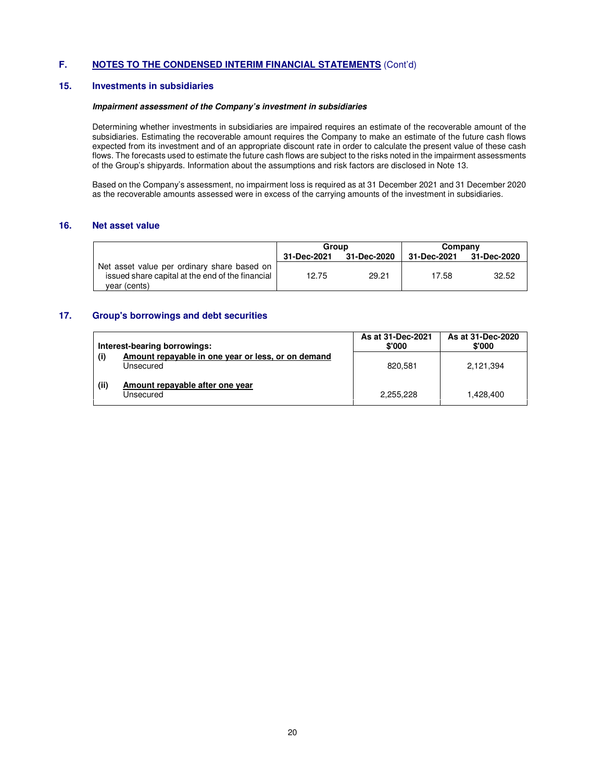#### **15. Investments in subsidiaries**

#### **Impairment assessment of the Company's investment in subsidiaries**

Determining whether investments in subsidiaries are impaired requires an estimate of the recoverable amount of the subsidiaries. Estimating the recoverable amount requires the Company to make an estimate of the future cash flows expected from its investment and of an appropriate discount rate in order to calculate the present value of these cash flows. The forecasts used to estimate the future cash flows are subject to the risks noted in the impairment assessments of the Group's shipyards. Information about the assumptions and risk factors are disclosed in Note 13.

Based on the Company's assessment, no impairment loss is required as at 31 December 2021 and 31 December 2020 as the recoverable amounts assessed were in excess of the carrying amounts of the investment in subsidiaries.

### **16. Net asset value**

|                                                                                                                 | Group<br>31-Dec-2021<br>31-Dec-2020 |       | Company     |             |  |
|-----------------------------------------------------------------------------------------------------------------|-------------------------------------|-------|-------------|-------------|--|
|                                                                                                                 |                                     |       | 31-Dec-2021 | 31-Dec-2020 |  |
| Net asset value per ordinary share based on<br>issued share capital at the end of the financial<br>year (cents) | 12.75                               | 29.21 | 17.58       | 32.52       |  |

#### **17. Group's borrowings and debt securities**

|      | Interest-bearing borrowings:                                    | As at 31-Dec-2021<br>\$'000 | As at 31-Dec-2020<br>\$'000 |
|------|-----------------------------------------------------------------|-----------------------------|-----------------------------|
| (i)  | Amount repayable in one year or less, or on demand<br>Unsecured | 820.581                     | 2.121.394                   |
| (ii) | Amount repayable after one year<br>Unsecured                    | 2.255.228                   | 1.428.400                   |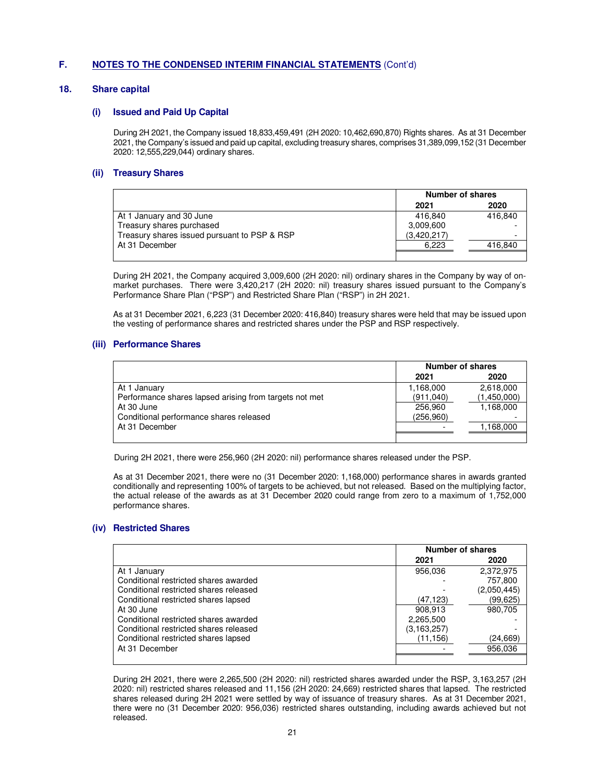#### **18. Share capital**

#### **(i) Issued and Paid Up Capital**

During 2H 2021, the Company issued 18,833,459,491 (2H 2020: 10,462,690,870) Rights shares. As at 31 December 2021, the Company's issued and paid up capital, excluding treasury shares, comprises 31,389,099,152 (31 December 2020: 12,555,229,044) ordinary shares.

#### **(ii) Treasury Shares**

|                                              |             | Number of shares |  |  |
|----------------------------------------------|-------------|------------------|--|--|
|                                              | 2021        | 2020             |  |  |
| At 1 January and 30 June                     | 416.840     | 416.840          |  |  |
| Treasury shares purchased                    | 3,009,600   |                  |  |  |
| Treasury shares issued pursuant to PSP & RSP | (3,420,217) |                  |  |  |
| At 31 December                               | 6.223       | 416,840          |  |  |
|                                              |             |                  |  |  |

During 2H 2021, the Company acquired 3,009,600 (2H 2020: nil) ordinary shares in the Company by way of onmarket purchases. There were 3,420,217 (2H 2020: nil) treasury shares issued pursuant to the Company's Performance Share Plan ("PSP") and Restricted Share Plan ("RSP") in 2H 2021.

As at 31 December 2021, 6,223 (31 December 2020: 416,840) treasury shares were held that may be issued upon the vesting of performance shares and restricted shares under the PSP and RSP respectively.

#### **(iii) Performance Shares**

|                                                        |           | <b>Number of shares</b> |  |  |
|--------------------------------------------------------|-----------|-------------------------|--|--|
|                                                        | 2021      | 2020                    |  |  |
| At 1 January                                           | 1,168,000 | 2,618,000               |  |  |
| Performance shares lapsed arising from targets not met | (911,040) | (1,450,000)             |  |  |
| At 30 June                                             | 256.960   | 1.168.000               |  |  |
| Conditional performance shares released                | (256,960) |                         |  |  |
| At 31 December                                         |           | 1.168.000               |  |  |
|                                                        |           |                         |  |  |

During 2H 2021, there were 256,960 (2H 2020: nil) performance shares released under the PSP.

As at 31 December 2021, there were no (31 December 2020: 1,168,000) performance shares in awards granted conditionally and representing 100% of targets to be achieved, but not released. Based on the multiplying factor, the actual release of the awards as at 31 December 2020 could range from zero to a maximum of 1,752,000 performance shares.

### **(iv) Restricted Shares**

|                                        |               | Number of shares |  |  |
|----------------------------------------|---------------|------------------|--|--|
|                                        | 2021          | 2020             |  |  |
| At 1 January                           | 956.036       | 2,372,975        |  |  |
| Conditional restricted shares awarded  |               | 757.800          |  |  |
| Conditional restricted shares released |               | (2,050,445)      |  |  |
| Conditional restricted shares lapsed   | (47, 123)     | (99, 625)        |  |  |
| At 30 June                             | 908.913       | 980.705          |  |  |
| Conditional restricted shares awarded  | 2,265,500     |                  |  |  |
| Conditional restricted shares released | (3, 163, 257) |                  |  |  |
| Conditional restricted shares lapsed   | (11, 156)     | (24,669)         |  |  |
| At 31 December                         |               | 956.036          |  |  |
|                                        |               |                  |  |  |

During 2H 2021, there were 2,265,500 (2H 2020: nil) restricted shares awarded under the RSP, 3,163,257 (2H 2020: nil) restricted shares released and 11,156 (2H 2020: 24,669) restricted shares that lapsed. The restricted shares released during 2H 2021 were settled by way of issuance of treasury shares. As at 31 December 2021, there were no (31 December 2020: 956,036) restricted shares outstanding, including awards achieved but not released.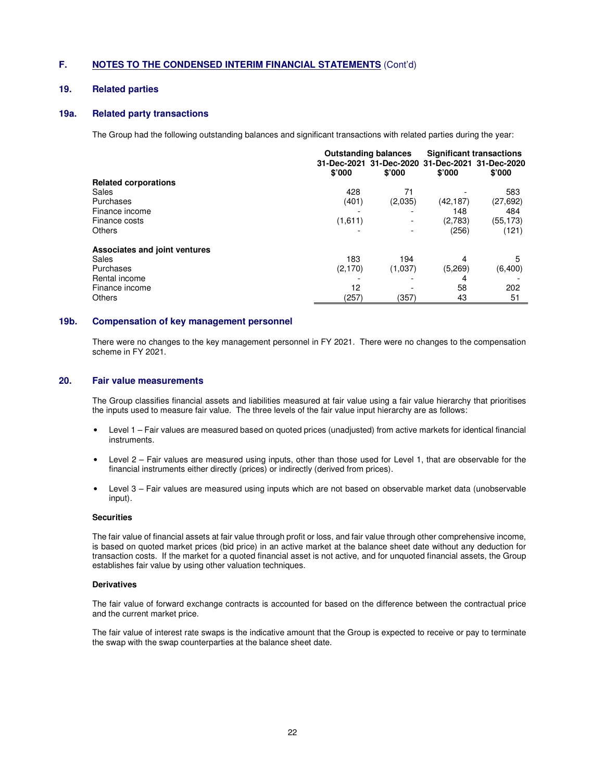## **19. Related parties**

## **19a. Related party transactions**

The Group had the following outstanding balances and significant transactions with related parties during the year:

|                               |          | <b>Outstanding balances</b>                     |           | <b>Significant transactions</b> |
|-------------------------------|----------|-------------------------------------------------|-----------|---------------------------------|
|                               |          | 31-Dec-2021 31-Dec-2020 31-Dec-2021 31-Dec-2020 |           |                                 |
|                               | \$'000   | \$'000                                          | \$'000    | \$'000                          |
| <b>Related corporations</b>   |          |                                                 |           |                                 |
| <b>Sales</b>                  | 428      | 71                                              |           | 583                             |
| Purchases                     | (401)    | (2,035)                                         | (42, 187) | (27, 692)                       |
| Finance income                |          |                                                 | 148       | 484                             |
| Finance costs                 | (1,611)  |                                                 | (2,783)   | (55, 173)                       |
| Others                        |          |                                                 | (256)     | (121)                           |
| Associates and joint ventures |          |                                                 |           |                                 |
| Sales                         | 183      | 194                                             | 4         | 5                               |
| Purchases                     | (2, 170) | (1,037)                                         | (5.269)   | (6,400)                         |
| Rental income                 |          |                                                 | 4         |                                 |
| Finance income                | 12       |                                                 | 58        | 202                             |
| Others                        | (257)    | (357)                                           | 43        | 51                              |

#### **19b. Compensation of key management personnel**

There were no changes to the key management personnel in FY 2021. There were no changes to the compensation scheme in FY 2021.

#### **20. Fair value measurements**

The Group classifies financial assets and liabilities measured at fair value using a fair value hierarchy that prioritises the inputs used to measure fair value. The three levels of the fair value input hierarchy are as follows:

- Level 1 Fair values are measured based on quoted prices (unadjusted) from active markets for identical financial instruments.
- Level 2 Fair values are measured using inputs, other than those used for Level 1, that are observable for the financial instruments either directly (prices) or indirectly (derived from prices).
- Level 3 Fair values are measured using inputs which are not based on observable market data (unobservable input).

#### **Securities**

The fair value of financial assets at fair value through profit or loss, and fair value through other comprehensive income, is based on quoted market prices (bid price) in an active market at the balance sheet date without any deduction for transaction costs. If the market for a quoted financial asset is not active, and for unquoted financial assets, the Group establishes fair value by using other valuation techniques.

#### **Derivatives**

The fair value of forward exchange contracts is accounted for based on the difference between the contractual price and the current market price.

The fair value of interest rate swaps is the indicative amount that the Group is expected to receive or pay to terminate the swap with the swap counterparties at the balance sheet date.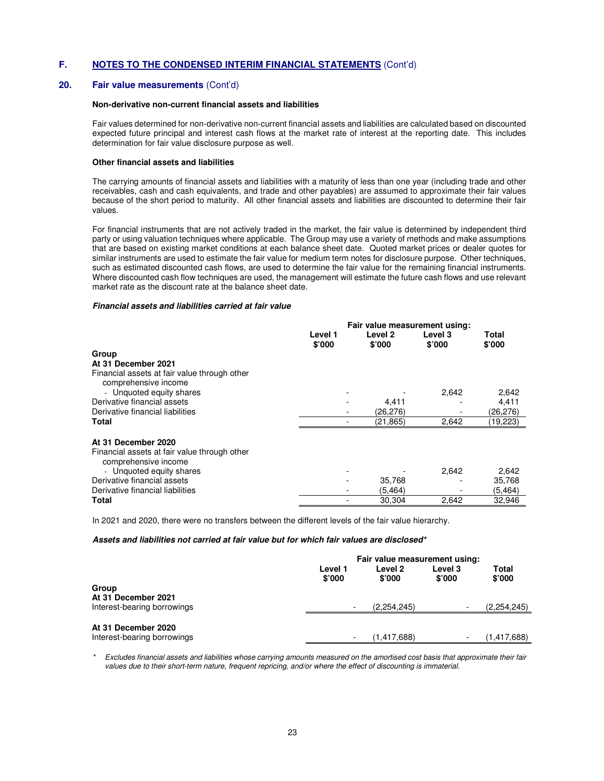## **20. Fair value measurements** (Cont'd)

#### **Non-derivative non-current financial assets and liabilities**

Fair values determined for non-derivative non-current financial assets and liabilities are calculated based on discounted expected future principal and interest cash flows at the market rate of interest at the reporting date. This includes determination for fair value disclosure purpose as well.

#### **Other financial assets and liabilities**

The carrying amounts of financial assets and liabilities with a maturity of less than one year (including trade and other receivables, cash and cash equivalents, and trade and other payables) are assumed to approximate their fair values because of the short period to maturity. All other financial assets and liabilities are discounted to determine their fair values.

For financial instruments that are not actively traded in the market, the fair value is determined by independent third party or using valuation techniques where applicable. The Group may use a variety of methods and make assumptions that are based on existing market conditions at each balance sheet date. Quoted market prices or dealer quotes for similar instruments are used to estimate the fair value for medium term notes for disclosure purpose. Other techniques, such as estimated discounted cash flows, are used to determine the fair value for the remaining financial instruments. Where discounted cash flow techniques are used, the management will estimate the future cash flows and use relevant market rate as the discount rate at the balance sheet date.

#### **Financial assets and liabilities carried at fair value**

|                                              | Fair value measurement using: |  |                   |                   |                 |
|----------------------------------------------|-------------------------------|--|-------------------|-------------------|-----------------|
|                                              | Level 1<br>\$'000             |  | Level 2<br>\$'000 | Level 3<br>\$'000 | Total<br>\$'000 |
| Group                                        |                               |  |                   |                   |                 |
| At 31 December 2021                          |                               |  |                   |                   |                 |
| Financial assets at fair value through other |                               |  |                   |                   |                 |
| comprehensive income                         |                               |  |                   |                   |                 |
| - Unquoted equity shares                     |                               |  |                   | 2,642             | 2,642           |
| Derivative financial assets                  |                               |  | 4,411             |                   | 4,411           |
| Derivative financial liabilities             |                               |  | (26,276)          |                   | (26,276)        |
| Total                                        |                               |  | (21,865)          | 2,642             | (19,223)        |
| At 31 December 2020                          |                               |  |                   |                   |                 |
| Financial assets at fair value through other |                               |  |                   |                   |                 |
| comprehensive income                         |                               |  |                   |                   |                 |
| - Unquoted equity shares                     |                               |  |                   | 2,642             | 2,642           |
| Derivative financial assets                  |                               |  | 35,768            |                   | 35,768          |
| Derivative financial liabilities             |                               |  | (5.464)           |                   | (5, 464)        |
| Total                                        |                               |  | 30,304            | 2,642             | 32,946          |

In 2021 and 2020, there were no transfers between the different levels of the fair value hierarchy.

#### **Assets and liabilities not carried at fair value but for which fair values are disclosed\***

|                              |                   | Fair value measurement using: |                   |                 |  |
|------------------------------|-------------------|-------------------------------|-------------------|-----------------|--|
|                              | Level 1<br>\$'000 | Level 2<br>\$'000             | Level 3<br>\$'000 | Total<br>\$'000 |  |
| Group<br>At 31 December 2021 |                   |                               |                   |                 |  |
| Interest-bearing borrowings  |                   | (2.254.245)                   |                   | (2, 254, 245)   |  |
| At 31 December 2020          |                   |                               |                   |                 |  |
| Interest-bearing borrowings  |                   | (1.417.688)                   |                   | (1.417,688)     |  |

Excludes financial assets and liabilities whose carrying amounts measured on the amortised cost basis that approximate their fair values due to their short-term nature, frequent repricing, and/or where the effect of discounting is immaterial.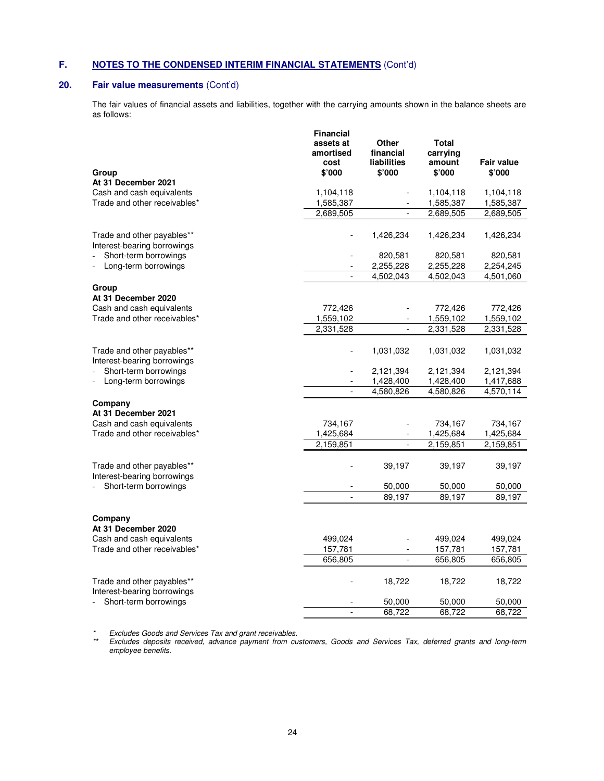# **20. Fair value measurements** (Cont'd)

The fair values of financial assets and liabilities, together with the carrying amounts shown in the balance sheets are as follows:

| <b>Total</b><br>Other<br>assets at<br>financial<br>carrying<br>amortised<br>liabilities<br>amount<br>Fair value<br>cost<br>\$'000<br>\$'000<br>\$'000<br>\$'000<br>Group<br>At 31 December 2021<br>Cash and cash equivalents<br>1,104,118<br>1,104,118<br>1,104,118<br>Trade and other receivables*<br>1,585,387<br>1,585,387<br>1,585,387<br>2,689,505<br>2,689,505<br>2,689,505<br>Trade and other payables**<br>1,426,234<br>1,426,234<br>1,426,234<br>Interest-bearing borrowings<br>Short-term borrowings<br>820,581<br>820,581<br>820,581<br>2,255,228<br>2,255,228<br>2,254,245<br>Long-term borrowings<br>4,502,043<br>4,502,043<br>4,501,060<br>÷,<br>Group<br>At 31 December 2020<br>Cash and cash equivalents<br>772,426<br>772,426<br>772,426<br>Trade and other receivables*<br>1,559,102<br>1,559,102<br>1,559,102<br>2,331,528<br>$\overline{a}$<br>2,331,528<br>2,331,528<br>Trade and other payables**<br>1,031,032<br>1,031,032<br>1,031,032<br>Interest-bearing borrowings<br>Short-term borrowings<br>2,121,394<br>2,121,394<br>2,121,394<br>1,428,400<br>1,428,400<br>1,417,688<br>Long-term borrowings<br>÷,<br>4,580,826<br>4,580,826<br>4,570,114<br>Company<br>At 31 December 2021<br>Cash and cash equivalents<br>734,167<br>734,167<br>734,167<br>Trade and other receivables*<br>1,425,684<br>1,425,684<br>1,425,684<br>2,159,851<br>2,159,851<br>2,159,851<br>$\overline{a}$<br>Trade and other payables**<br>39,197<br>39,197<br>39,197<br>Interest-bearing borrowings<br>Short-term borrowings<br>50,000<br>50,000<br>50,000<br>89,197<br>89,197<br>89,197<br>$\overline{a}$<br>Company<br>At 31 December 2020<br>Cash and cash equivalents<br>499,024<br>499,024<br>499,024<br>Trade and other receivables*<br>157,781<br>157,781<br>157,781<br>656,805<br>656,805<br>656,805<br>Trade and other payables**<br>18,722<br>18,722<br>18,722<br>Interest-bearing borrowings<br>Short-term borrowings<br>50,000<br>50,000<br>50,000<br>68,722<br>68,722<br>68,722<br>$\overline{a}$ | <b>Financial</b> |  |  |
|-----------------------------------------------------------------------------------------------------------------------------------------------------------------------------------------------------------------------------------------------------------------------------------------------------------------------------------------------------------------------------------------------------------------------------------------------------------------------------------------------------------------------------------------------------------------------------------------------------------------------------------------------------------------------------------------------------------------------------------------------------------------------------------------------------------------------------------------------------------------------------------------------------------------------------------------------------------------------------------------------------------------------------------------------------------------------------------------------------------------------------------------------------------------------------------------------------------------------------------------------------------------------------------------------------------------------------------------------------------------------------------------------------------------------------------------------------------------------------------------------------------------------------------------------------------------------------------------------------------------------------------------------------------------------------------------------------------------------------------------------------------------------------------------------------------------------------------------------------------------------------------------------------------------------------------------------------------------------------------------------------------------|------------------|--|--|
|                                                                                                                                                                                                                                                                                                                                                                                                                                                                                                                                                                                                                                                                                                                                                                                                                                                                                                                                                                                                                                                                                                                                                                                                                                                                                                                                                                                                                                                                                                                                                                                                                                                                                                                                                                                                                                                                                                                                                                                                                 |                  |  |  |
|                                                                                                                                                                                                                                                                                                                                                                                                                                                                                                                                                                                                                                                                                                                                                                                                                                                                                                                                                                                                                                                                                                                                                                                                                                                                                                                                                                                                                                                                                                                                                                                                                                                                                                                                                                                                                                                                                                                                                                                                                 |                  |  |  |
|                                                                                                                                                                                                                                                                                                                                                                                                                                                                                                                                                                                                                                                                                                                                                                                                                                                                                                                                                                                                                                                                                                                                                                                                                                                                                                                                                                                                                                                                                                                                                                                                                                                                                                                                                                                                                                                                                                                                                                                                                 |                  |  |  |
|                                                                                                                                                                                                                                                                                                                                                                                                                                                                                                                                                                                                                                                                                                                                                                                                                                                                                                                                                                                                                                                                                                                                                                                                                                                                                                                                                                                                                                                                                                                                                                                                                                                                                                                                                                                                                                                                                                                                                                                                                 |                  |  |  |
|                                                                                                                                                                                                                                                                                                                                                                                                                                                                                                                                                                                                                                                                                                                                                                                                                                                                                                                                                                                                                                                                                                                                                                                                                                                                                                                                                                                                                                                                                                                                                                                                                                                                                                                                                                                                                                                                                                                                                                                                                 |                  |  |  |
|                                                                                                                                                                                                                                                                                                                                                                                                                                                                                                                                                                                                                                                                                                                                                                                                                                                                                                                                                                                                                                                                                                                                                                                                                                                                                                                                                                                                                                                                                                                                                                                                                                                                                                                                                                                                                                                                                                                                                                                                                 |                  |  |  |
|                                                                                                                                                                                                                                                                                                                                                                                                                                                                                                                                                                                                                                                                                                                                                                                                                                                                                                                                                                                                                                                                                                                                                                                                                                                                                                                                                                                                                                                                                                                                                                                                                                                                                                                                                                                                                                                                                                                                                                                                                 |                  |  |  |
|                                                                                                                                                                                                                                                                                                                                                                                                                                                                                                                                                                                                                                                                                                                                                                                                                                                                                                                                                                                                                                                                                                                                                                                                                                                                                                                                                                                                                                                                                                                                                                                                                                                                                                                                                                                                                                                                                                                                                                                                                 |                  |  |  |
|                                                                                                                                                                                                                                                                                                                                                                                                                                                                                                                                                                                                                                                                                                                                                                                                                                                                                                                                                                                                                                                                                                                                                                                                                                                                                                                                                                                                                                                                                                                                                                                                                                                                                                                                                                                                                                                                                                                                                                                                                 |                  |  |  |
|                                                                                                                                                                                                                                                                                                                                                                                                                                                                                                                                                                                                                                                                                                                                                                                                                                                                                                                                                                                                                                                                                                                                                                                                                                                                                                                                                                                                                                                                                                                                                                                                                                                                                                                                                                                                                                                                                                                                                                                                                 |                  |  |  |
|                                                                                                                                                                                                                                                                                                                                                                                                                                                                                                                                                                                                                                                                                                                                                                                                                                                                                                                                                                                                                                                                                                                                                                                                                                                                                                                                                                                                                                                                                                                                                                                                                                                                                                                                                                                                                                                                                                                                                                                                                 |                  |  |  |
|                                                                                                                                                                                                                                                                                                                                                                                                                                                                                                                                                                                                                                                                                                                                                                                                                                                                                                                                                                                                                                                                                                                                                                                                                                                                                                                                                                                                                                                                                                                                                                                                                                                                                                                                                                                                                                                                                                                                                                                                                 |                  |  |  |
|                                                                                                                                                                                                                                                                                                                                                                                                                                                                                                                                                                                                                                                                                                                                                                                                                                                                                                                                                                                                                                                                                                                                                                                                                                                                                                                                                                                                                                                                                                                                                                                                                                                                                                                                                                                                                                                                                                                                                                                                                 |                  |  |  |
|                                                                                                                                                                                                                                                                                                                                                                                                                                                                                                                                                                                                                                                                                                                                                                                                                                                                                                                                                                                                                                                                                                                                                                                                                                                                                                                                                                                                                                                                                                                                                                                                                                                                                                                                                                                                                                                                                                                                                                                                                 |                  |  |  |
|                                                                                                                                                                                                                                                                                                                                                                                                                                                                                                                                                                                                                                                                                                                                                                                                                                                                                                                                                                                                                                                                                                                                                                                                                                                                                                                                                                                                                                                                                                                                                                                                                                                                                                                                                                                                                                                                                                                                                                                                                 |                  |  |  |
|                                                                                                                                                                                                                                                                                                                                                                                                                                                                                                                                                                                                                                                                                                                                                                                                                                                                                                                                                                                                                                                                                                                                                                                                                                                                                                                                                                                                                                                                                                                                                                                                                                                                                                                                                                                                                                                                                                                                                                                                                 |                  |  |  |
|                                                                                                                                                                                                                                                                                                                                                                                                                                                                                                                                                                                                                                                                                                                                                                                                                                                                                                                                                                                                                                                                                                                                                                                                                                                                                                                                                                                                                                                                                                                                                                                                                                                                                                                                                                                                                                                                                                                                                                                                                 |                  |  |  |
|                                                                                                                                                                                                                                                                                                                                                                                                                                                                                                                                                                                                                                                                                                                                                                                                                                                                                                                                                                                                                                                                                                                                                                                                                                                                                                                                                                                                                                                                                                                                                                                                                                                                                                                                                                                                                                                                                                                                                                                                                 |                  |  |  |
|                                                                                                                                                                                                                                                                                                                                                                                                                                                                                                                                                                                                                                                                                                                                                                                                                                                                                                                                                                                                                                                                                                                                                                                                                                                                                                                                                                                                                                                                                                                                                                                                                                                                                                                                                                                                                                                                                                                                                                                                                 |                  |  |  |
|                                                                                                                                                                                                                                                                                                                                                                                                                                                                                                                                                                                                                                                                                                                                                                                                                                                                                                                                                                                                                                                                                                                                                                                                                                                                                                                                                                                                                                                                                                                                                                                                                                                                                                                                                                                                                                                                                                                                                                                                                 |                  |  |  |
|                                                                                                                                                                                                                                                                                                                                                                                                                                                                                                                                                                                                                                                                                                                                                                                                                                                                                                                                                                                                                                                                                                                                                                                                                                                                                                                                                                                                                                                                                                                                                                                                                                                                                                                                                                                                                                                                                                                                                                                                                 |                  |  |  |
|                                                                                                                                                                                                                                                                                                                                                                                                                                                                                                                                                                                                                                                                                                                                                                                                                                                                                                                                                                                                                                                                                                                                                                                                                                                                                                                                                                                                                                                                                                                                                                                                                                                                                                                                                                                                                                                                                                                                                                                                                 |                  |  |  |
|                                                                                                                                                                                                                                                                                                                                                                                                                                                                                                                                                                                                                                                                                                                                                                                                                                                                                                                                                                                                                                                                                                                                                                                                                                                                                                                                                                                                                                                                                                                                                                                                                                                                                                                                                                                                                                                                                                                                                                                                                 |                  |  |  |
|                                                                                                                                                                                                                                                                                                                                                                                                                                                                                                                                                                                                                                                                                                                                                                                                                                                                                                                                                                                                                                                                                                                                                                                                                                                                                                                                                                                                                                                                                                                                                                                                                                                                                                                                                                                                                                                                                                                                                                                                                 |                  |  |  |
|                                                                                                                                                                                                                                                                                                                                                                                                                                                                                                                                                                                                                                                                                                                                                                                                                                                                                                                                                                                                                                                                                                                                                                                                                                                                                                                                                                                                                                                                                                                                                                                                                                                                                                                                                                                                                                                                                                                                                                                                                 |                  |  |  |
|                                                                                                                                                                                                                                                                                                                                                                                                                                                                                                                                                                                                                                                                                                                                                                                                                                                                                                                                                                                                                                                                                                                                                                                                                                                                                                                                                                                                                                                                                                                                                                                                                                                                                                                                                                                                                                                                                                                                                                                                                 |                  |  |  |
|                                                                                                                                                                                                                                                                                                                                                                                                                                                                                                                                                                                                                                                                                                                                                                                                                                                                                                                                                                                                                                                                                                                                                                                                                                                                                                                                                                                                                                                                                                                                                                                                                                                                                                                                                                                                                                                                                                                                                                                                                 |                  |  |  |
|                                                                                                                                                                                                                                                                                                                                                                                                                                                                                                                                                                                                                                                                                                                                                                                                                                                                                                                                                                                                                                                                                                                                                                                                                                                                                                                                                                                                                                                                                                                                                                                                                                                                                                                                                                                                                                                                                                                                                                                                                 |                  |  |  |
|                                                                                                                                                                                                                                                                                                                                                                                                                                                                                                                                                                                                                                                                                                                                                                                                                                                                                                                                                                                                                                                                                                                                                                                                                                                                                                                                                                                                                                                                                                                                                                                                                                                                                                                                                                                                                                                                                                                                                                                                                 |                  |  |  |
|                                                                                                                                                                                                                                                                                                                                                                                                                                                                                                                                                                                                                                                                                                                                                                                                                                                                                                                                                                                                                                                                                                                                                                                                                                                                                                                                                                                                                                                                                                                                                                                                                                                                                                                                                                                                                                                                                                                                                                                                                 |                  |  |  |
|                                                                                                                                                                                                                                                                                                                                                                                                                                                                                                                                                                                                                                                                                                                                                                                                                                                                                                                                                                                                                                                                                                                                                                                                                                                                                                                                                                                                                                                                                                                                                                                                                                                                                                                                                                                                                                                                                                                                                                                                                 |                  |  |  |
|                                                                                                                                                                                                                                                                                                                                                                                                                                                                                                                                                                                                                                                                                                                                                                                                                                                                                                                                                                                                                                                                                                                                                                                                                                                                                                                                                                                                                                                                                                                                                                                                                                                                                                                                                                                                                                                                                                                                                                                                                 |                  |  |  |
|                                                                                                                                                                                                                                                                                                                                                                                                                                                                                                                                                                                                                                                                                                                                                                                                                                                                                                                                                                                                                                                                                                                                                                                                                                                                                                                                                                                                                                                                                                                                                                                                                                                                                                                                                                                                                                                                                                                                                                                                                 |                  |  |  |

\* Excludes Goods and Services Tax and grant receivables.

\*\* Excludes deposits received, advance payment from customers, Goods and Services Tax, deferred grants and long-term employee benefits.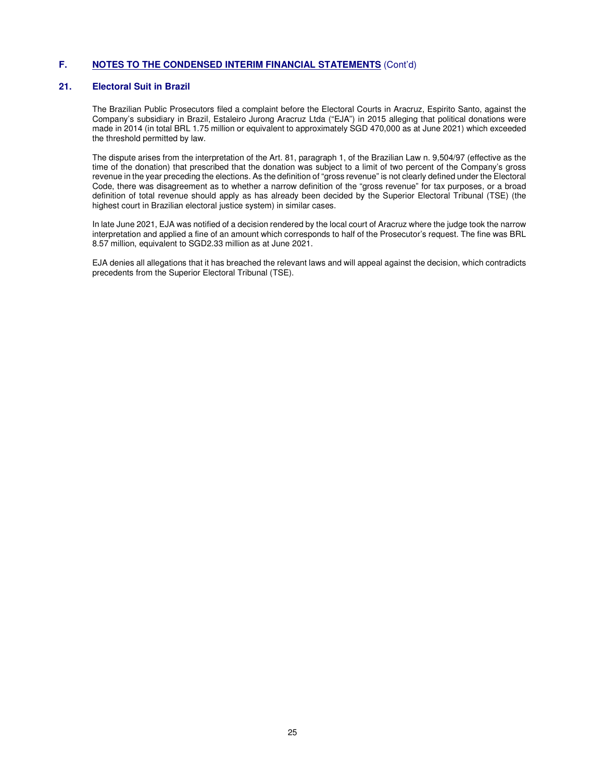#### **21. Electoral Suit in Brazil**

The Brazilian Public Prosecutors filed a complaint before the Electoral Courts in Aracruz, Espirito Santo, against the Company's subsidiary in Brazil, Estaleiro Jurong Aracruz Ltda ("EJA") in 2015 alleging that political donations were made in 2014 (in total BRL 1.75 million or equivalent to approximately SGD 470,000 as at June 2021) which exceeded the threshold permitted by law.

The dispute arises from the interpretation of the Art. 81, paragraph 1, of the Brazilian Law n. 9,504/97 (effective as the time of the donation) that prescribed that the donation was subject to a limit of two percent of the Company's gross revenue in the year preceding the elections. As the definition of "gross revenue" is not clearly defined under the Electoral Code, there was disagreement as to whether a narrow definition of the "gross revenue" for tax purposes, or a broad definition of total revenue should apply as has already been decided by the Superior Electoral Tribunal (TSE) (the highest court in Brazilian electoral justice system) in similar cases.

In late June 2021, EJA was notified of a decision rendered by the local court of Aracruz where the judge took the narrow interpretation and applied a fine of an amount which corresponds to half of the Prosecutor's request. The fine was BRL 8.57 million, equivalent to SGD2.33 million as at June 2021.

EJA denies all allegations that it has breached the relevant laws and will appeal against the decision, which contradicts precedents from the Superior Electoral Tribunal (TSE).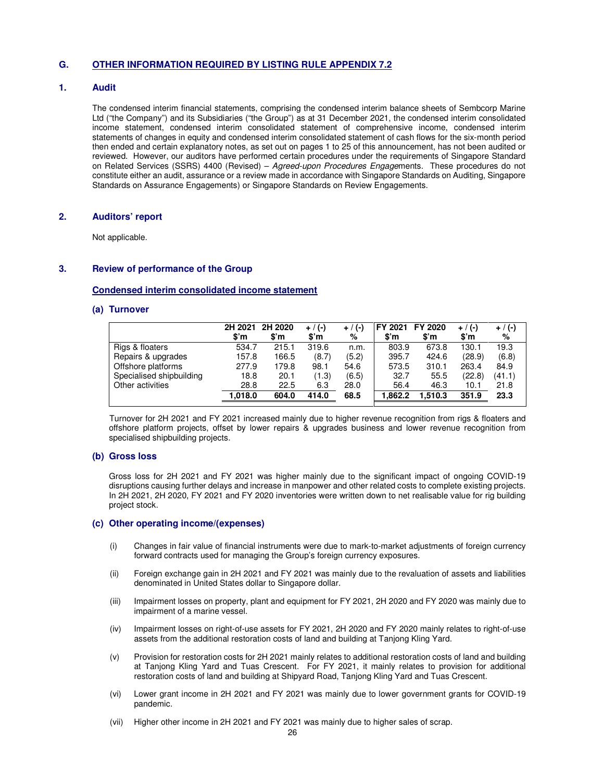### **1. Audit**

The condensed interim financial statements, comprising the condensed interim balance sheets of Sembcorp Marine Ltd ("the Company") and its Subsidiaries ("the Group") as at 31 December 2021, the condensed interim consolidated income statement, condensed interim consolidated statement of comprehensive income, condensed interim statements of changes in equity and condensed interim consolidated statement of cash flows for the six-month period then ended and certain explanatory notes, as set out on pages 1 to 25 of this announcement, has not been audited or reviewed. However, our auditors have performed certain procedures under the requirements of Singapore Standard on Related Services (SSRS) 4400 (Revised) – Agreed-upon Procedures Engagements. These procedures do not constitute either an audit, assurance or a review made in accordance with Singapore Standards on Auditing, Singapore Standards on Assurance Engagements) or Singapore Standards on Review Engagements.

### **2. Auditors' report**

Not applicable.

#### **3. Review of performance of the Group**

#### **Condensed interim consolidated income statement**

#### **(a) Turnover**

|                          | 2H 2021<br>\$'n | 2H 2020<br>\$'m | $+$ / (-)<br>$\mathbf{S}'$ m | + / (-)<br>% | \$'n    | FY 2021 FY 2020<br>\$'m | $+$ / (-)<br>$\mathbf{S}'$ m | + / (-)<br>% |
|--------------------------|-----------------|-----------------|------------------------------|--------------|---------|-------------------------|------------------------------|--------------|
| Rigs & floaters          | 534.7           | 215.1           | 319.6                        | n.m.         | 803.9   | 673.8                   | 130.1                        | 19.3         |
| Repairs & upgrades       | 157.8           | 166.5           | (8.7)                        | (5.2)        | 395.7   | 424.6                   | (28.9)                       | (6.8)        |
| Offshore platforms       | 277.9           | 179.8           | 98.1                         | 54.6         | 573.5   | 310.1                   | 263.4                        | 84.9         |
| Specialised shipbuilding | 18.8            | 20.1            | (1.3)                        | (6.5)        | 32.7    | 55.5                    | (22.8)                       | (41.1)       |
| Other activities         | 28.8            | 22.5            | 6.3                          | 28.0         | 56.4    | 46.3                    | 10.1                         | 21.8         |
|                          | 1.018.0         | 604.0           | 414.0                        | 68.5         | 1.862.2 | 1.510.3                 | 351.9                        | 23.3         |

Turnover for 2H 2021 and FY 2021 increased mainly due to higher revenue recognition from rigs & floaters and offshore platform projects, offset by lower repairs & upgrades business and lower revenue recognition from specialised shipbuilding projects.

#### **(b) Gross loss**

Gross loss for 2H 2021 and FY 2021 was higher mainly due to the significant impact of ongoing COVID-19 disruptions causing further delays and increase in manpower and other related costs to complete existing projects. In 2H 2021, 2H 2020, FY 2021 and FY 2020 inventories were written down to net realisable value for rig building project stock.

#### **(c) Other operating income/(expenses)**

- (i) Changes in fair value of financial instruments were due to mark-to-market adjustments of foreign currency forward contracts used for managing the Group's foreign currency exposures.
- (ii) Foreign exchange gain in 2H 2021 and FY 2021 was mainly due to the revaluation of assets and liabilities denominated in United States dollar to Singapore dollar.
- (iii) Impairment losses on property, plant and equipment for FY 2021, 2H 2020 and FY 2020 was mainly due to impairment of a marine vessel.
- (iv) Impairment losses on right-of-use assets for FY 2021, 2H 2020 and FY 2020 mainly relates to right-of-use assets from the additional restoration costs of land and building at Tanjong Kling Yard.
- (v) Provision for restoration costs for 2H 2021 mainly relates to additional restoration costs of land and building at Tanjong Kling Yard and Tuas Crescent. For FY 2021, it mainly relates to provision for additional restoration costs of land and building at Shipyard Road, Tanjong Kling Yard and Tuas Crescent.
- (vi) Lower grant income in 2H 2021 and FY 2021 was mainly due to lower government grants for COVID-19 pandemic.
- (vii) Higher other income in 2H 2021 and FY 2021 was mainly due to higher sales of scrap.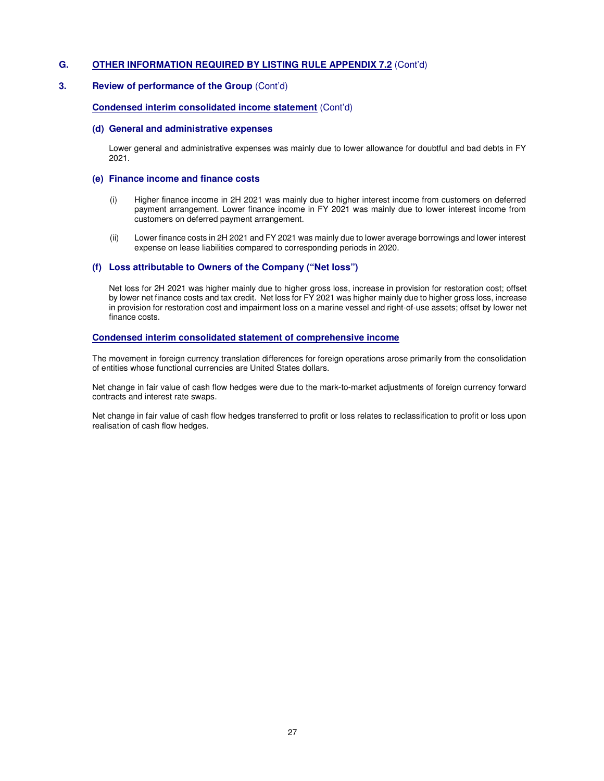## **3.** Review of performance of the Group *(Cont'd)*

## **Condensed interim consolidated income statement** (Cont'd)

#### **(d) General and administrative expenses**

Lower general and administrative expenses was mainly due to lower allowance for doubtful and bad debts in FY 2021.

#### **(e) Finance income and finance costs**

- (i) Higher finance income in 2H 2021 was mainly due to higher interest income from customers on deferred payment arrangement. Lower finance income in FY 2021 was mainly due to lower interest income from customers on deferred payment arrangement.
- (ii) Lower finance costs in 2H 2021 and FY 2021 was mainly due to lower average borrowings and lower interest expense on lease liabilities compared to corresponding periods in 2020.

#### **(f) Loss attributable to Owners of the Company ("Net loss")**

Net loss for 2H 2021 was higher mainly due to higher gross loss, increase in provision for restoration cost; offset by lower net finance costs and tax credit. Net loss for FY 2021 was higher mainly due to higher gross loss, increase in provision for restoration cost and impairment loss on a marine vessel and right-of-use assets; offset by lower net finance costs.

#### **Condensed interim consolidated statement of comprehensive income**

The movement in foreign currency translation differences for foreign operations arose primarily from the consolidation of entities whose functional currencies are United States dollars.

Net change in fair value of cash flow hedges were due to the mark-to-market adjustments of foreign currency forward contracts and interest rate swaps.

Net change in fair value of cash flow hedges transferred to profit or loss relates to reclassification to profit or loss upon realisation of cash flow hedges.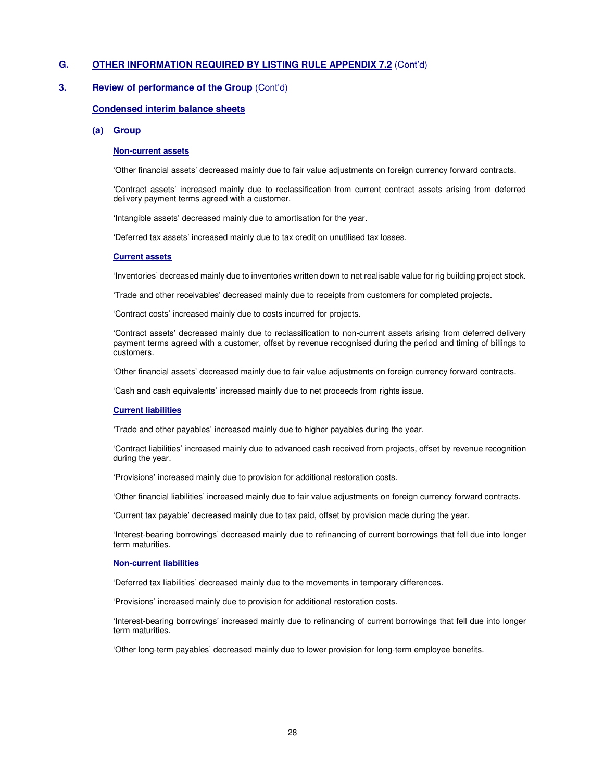## **3. Review of performance of the Group** (Cont'd)

#### **Condensed interim balance sheets**

#### **(a) Group**

#### **Non-current assets**

'Other financial assets' decreased mainly due to fair value adjustments on foreign currency forward contracts.

'Contract assets' increased mainly due to reclassification from current contract assets arising from deferred delivery payment terms agreed with a customer.

'Intangible assets' decreased mainly due to amortisation for the year.

'Deferred tax assets' increased mainly due to tax credit on unutilised tax losses.

#### **Current assets**

'Inventories' decreased mainly due to inventories written down to net realisable value for rig building project stock.

'Trade and other receivables' decreased mainly due to receipts from customers for completed projects.

'Contract costs' increased mainly due to costs incurred for projects.

'Contract assets' decreased mainly due to reclassification to non-current assets arising from deferred delivery payment terms agreed with a customer, offset by revenue recognised during the period and timing of billings to customers.

'Other financial assets' decreased mainly due to fair value adjustments on foreign currency forward contracts.

'Cash and cash equivalents' increased mainly due to net proceeds from rights issue.

#### **Current liabilities**

'Trade and other payables' increased mainly due to higher payables during the year.

'Contract liabilities' increased mainly due to advanced cash received from projects, offset by revenue recognition during the year.

'Provisions' increased mainly due to provision for additional restoration costs.

'Other financial liabilities' increased mainly due to fair value adjustments on foreign currency forward contracts.

'Current tax payable' decreased mainly due to tax paid, offset by provision made during the year.

'Interest-bearing borrowings' decreased mainly due to refinancing of current borrowings that fell due into longer term maturities.

#### **Non-current liabilities**

'Deferred tax liabilities' decreased mainly due to the movements in temporary differences.

'Provisions' increased mainly due to provision for additional restoration costs.

'Interest-bearing borrowings' increased mainly due to refinancing of current borrowings that fell due into longer term maturities.

'Other long-term payables' decreased mainly due to lower provision for long-term employee benefits.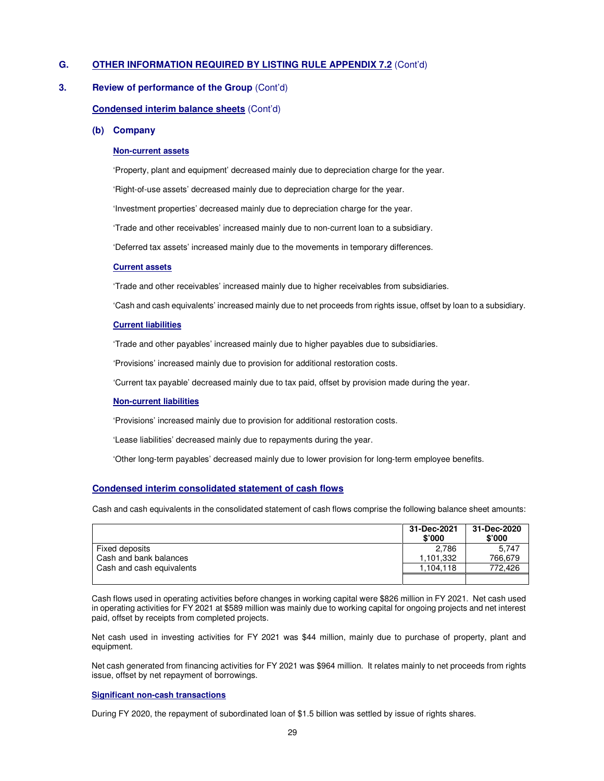#### **3. Review of performance of the Group** (Cont'd)

#### **Condensed interim balance sheets** (Cont'd)

#### **(b) Company**

#### **Non-current assets**

'Property, plant and equipment' decreased mainly due to depreciation charge for the year.

'Right-of-use assets' decreased mainly due to depreciation charge for the year.

'Investment properties' decreased mainly due to depreciation charge for the year.

'Trade and other receivables' increased mainly due to non-current loan to a subsidiary.

'Deferred tax assets' increased mainly due to the movements in temporary differences.

#### **Current assets**

'Trade and other receivables' increased mainly due to higher receivables from subsidiaries.

'Cash and cash equivalents' increased mainly due to net proceeds from rights issue, offset by loan to a subsidiary.

#### **Current liabilities**

'Trade and other payables' increased mainly due to higher payables due to subsidiaries.

'Provisions' increased mainly due to provision for additional restoration costs.

'Current tax payable' decreased mainly due to tax paid, offset by provision made during the year.

#### **Non-current liabilities**

'Provisions' increased mainly due to provision for additional restoration costs.

'Lease liabilities' decreased mainly due to repayments during the year.

'Other long-term payables' decreased mainly due to lower provision for long-term employee benefits.

#### **Condensed interim consolidated statement of cash flows**

Cash and cash equivalents in the consolidated statement of cash flows comprise the following balance sheet amounts:

|                           | 31-Dec-2021<br>\$'000 | 31-Dec-2020<br>\$'000 |
|---------------------------|-----------------------|-----------------------|
| Fixed deposits            | 2.786                 | 5.747                 |
| Cash and bank balances    | 1.101.332             | 766.679               |
| Cash and cash equivalents | 1.104.118             | 772.426               |
|                           |                       |                       |

Cash flows used in operating activities before changes in working capital were \$826 million in FY 2021. Net cash used in operating activities for FY 2021 at \$589 million was mainly due to working capital for ongoing projects and net interest paid, offset by receipts from completed projects.

Net cash used in investing activities for FY 2021 was \$44 million, mainly due to purchase of property, plant and equipment.

Net cash generated from financing activities for FY 2021 was \$964 million. It relates mainly to net proceeds from rights issue, offset by net repayment of borrowings.

## **Significant non-cash transactions**

During FY 2020, the repayment of subordinated loan of \$1.5 billion was settled by issue of rights shares.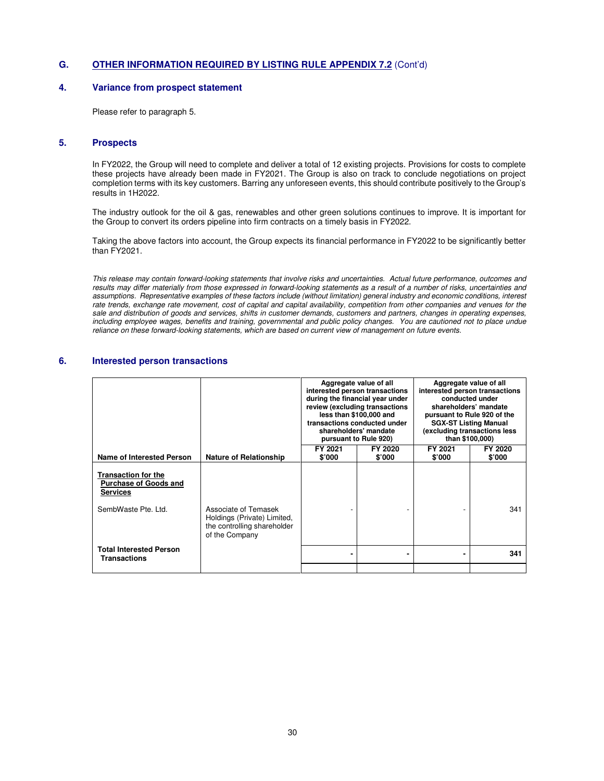## **4. Variance from prospect statement**

Please refer to paragraph 5.

#### **5. Prospects**

In FY2022, the Group will need to complete and deliver a total of 12 existing projects. Provisions for costs to complete these projects have already been made in FY2021. The Group is also on track to conclude negotiations on project completion terms with its key customers. Barring any unforeseen events, this should contribute positively to the Group's results in 1H2022.

The industry outlook for the oil & gas, renewables and other green solutions continues to improve. It is important for the Group to convert its orders pipeline into firm contracts on a timely basis in FY2022.

Taking the above factors into account, the Group expects its financial performance in FY2022 to be significantly better than FY2021.

This release may contain forward-looking statements that involve risks and uncertainties. Actual future performance, outcomes and results may differ materially from those expressed in forward-looking statements as a result of a number of risks, uncertainties and assumptions. Representative examples of these factors include (without limitation) general industry and economic conditions, interest rate trends, exchange rate movement, cost of capital and capital availability, competition from other companies and venues for the sale and distribution of goods and services, shifts in customer demands, customers and partners, changes in operating expenses, including employee wages, benefits and training, governmental and public policy changes. You are cautioned not to place undue reliance on these forward-looking statements, which are based on current view of management on future events.

#### **6. Interested person transactions**

|                                                                                               |                                                                                                      | Aggregate value of all<br>interested person transactions<br>during the financial year under<br>review (excluding transactions<br>less than \$100,000 and<br>transactions conducted under<br>shareholders' mandate<br>pursuant to Rule 920) |                   |                   | Aggregate value of all<br>interested person transactions<br>conducted under<br>shareholders' mandate<br>pursuant to Rule 920 of the<br><b>SGX-ST Listing Manual</b><br>(excluding transactions less)<br>than \$100,000) |
|-----------------------------------------------------------------------------------------------|------------------------------------------------------------------------------------------------------|--------------------------------------------------------------------------------------------------------------------------------------------------------------------------------------------------------------------------------------------|-------------------|-------------------|-------------------------------------------------------------------------------------------------------------------------------------------------------------------------------------------------------------------------|
| Name of Interested Person                                                                     | <b>Nature of Relationship</b>                                                                        | FY 2021<br>\$'000                                                                                                                                                                                                                          | FY 2020<br>\$'000 | FY 2021<br>\$'000 | FY 2020<br>\$'000                                                                                                                                                                                                       |
| <b>Transaction for the</b><br><b>Purchase of Goods and</b><br>Services<br>SembWaste Pte, Ltd. | Associate of Temasek<br>Holdings (Private) Limited,<br>the controlling shareholder<br>of the Company |                                                                                                                                                                                                                                            |                   |                   | 341                                                                                                                                                                                                                     |
| <b>Total Interested Person</b><br>Transactions                                                |                                                                                                      |                                                                                                                                                                                                                                            |                   |                   | 341                                                                                                                                                                                                                     |
|                                                                                               |                                                                                                      |                                                                                                                                                                                                                                            |                   |                   |                                                                                                                                                                                                                         |